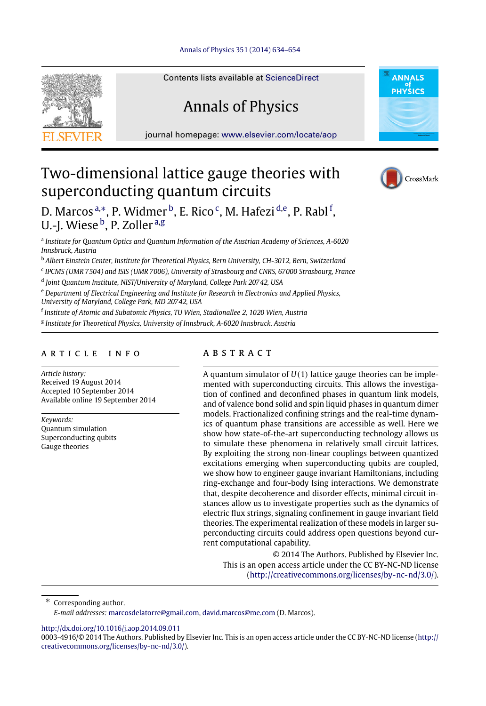

Contents lists available at [ScienceDirect](http://www.elsevier.com/locate/aop)

# Annals of Physics

journal homepage: [www.elsevier.com/locate/aop](http://www.elsevier.com/locate/aop)

## Two-dimensional lattice gauge theories with superconducting quantum circuits



**ANNALS PHYSICS** 

D. Mar[c](#page-0-3)os ª,\*, P. Wi[d](#page-0-4)mer  $^{\rm b}$  $^{\rm b}$  $^{\rm b}$ , E. Rico  $^{\rm c}$ , M. Hafezi <sup>d[,e](#page-0-5)</sup>, P. Rabl <sup>[f](#page-0-6)</sup>, U.-J. Wiese <sup>[b](#page-0-2)</sup>, P. Zoller <sup>[a,](#page-0-0)[g](#page-0-7)</sup>

<span id="page-0-0"></span>a *Institute for Quantum Optics and Quantum Information of the Austrian Academy of Sciences, A-6020 Innsbruck, Austria*

<span id="page-0-2"></span><sup>b</sup> *Albert Einstein Center, Institute for Theoretical Physics, Bern University, CH-3012, Bern, Switzerland*

<span id="page-0-3"></span>c *IPCMS (UMR 7504) and ISIS (UMR 7006), University of Strasbourg and CNRS, 67000 Strasbourg, France*

<span id="page-0-4"></span>d *Joint Quantum Institute, NIST/University of Maryland, College Park 20742, USA*

<span id="page-0-5"></span><sup>e</sup> *Department of Electrical Engineering and Institute for Research in Electronics and Applied Physics, University of Maryland, College Park, MD 20742, USA*

<span id="page-0-7"></span><span id="page-0-6"></span>f *Institute of Atomic and Subatomic Physics, TU Wien, Stadionallee 2, 1020 Wien, Austria* g *Institute for Theoretical Physics, University of Innsbruck, A-6020 Innsbruck, Austria*

## a r t i c l e i n f o

*Article history:* Received 19 August 2014 Accepted 10 September 2014 Available online 19 September 2014

*Keywords:* Quantum simulation Superconducting qubits Gauge theories

## A B S T R A C T

A quantum simulator of *U*(1) lattice gauge theories can be implemented with superconducting circuits. This allows the investigation of confined and deconfined phases in quantum link models, and of valence bond solid and spin liquid phases in quantum dimer models. Fractionalized confining strings and the real-time dynamics of quantum phase transitions are accessible as well. Here we show how state-of-the-art superconducting technology allows us to simulate these phenomena in relatively small circuit lattices. By exploiting the strong non-linear couplings between quantized excitations emerging when superconducting qubits are coupled, we show how to engineer gauge invariant Hamiltonians, including ring-exchange and four-body Ising interactions. We demonstrate that, despite decoherence and disorder effects, minimal circuit instances allow us to investigate properties such as the dynamics of electric flux strings, signaling confinement in gauge invariant field theories. The experimental realization of these models in larger superconducting circuits could address open questions beyond current computational capability.

© 2014 The Authors. Published by Elsevier Inc. This is an open access article under the CC BY-NC-ND license [\(http://creativecommons.org/licenses/by-nc-nd/3.0/\)](http://creativecommons.org/licenses/by-nc-nd/3.0/).

<span id="page-0-1"></span>Corresponding author.

*E-mail addresses:* [marcosdelatorre@gmail.com,](mailto:marcosdelatorre@gmail.com) [david.marcos@me.com](mailto:david.marcos@me.com) (D. Marcos).

<http://dx.doi.org/10.1016/j.aop.2014.09.011>

<sup>0003-4916/</sup>© 2014 The Authors. Published by Elsevier Inc. This is an open access article under the CC BY-NC-ND license [\(http://](http://creativecommons.org/licenses/by-nc-nd/3.0/) [creativecommons.org/licenses/by-nc-nd/3.0/\)](http://creativecommons.org/licenses/by-nc-nd/3.0/).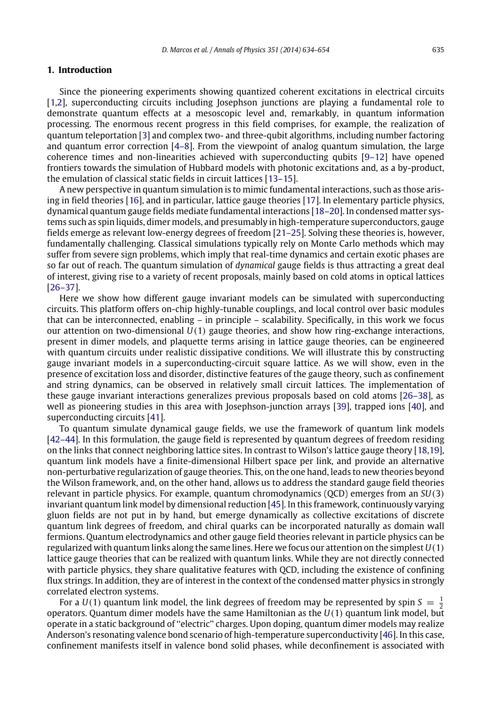## **1. Introduction**

Since the pioneering experiments showing quantized coherent excitations in electrical circuits [\[1](#page-19-0)[,2\]](#page-19-1), superconducting circuits including Josephson junctions are playing a fundamental role to demonstrate quantum effects at a mesoscopic level and, remarkably, in quantum information processing. The enormous recent progress in this field comprises, for example, the realization of quantum teleportation [\[3\]](#page-19-2) and complex two- and three-qubit algorithms, including number factoring and quantum error correction [\[4–8\]](#page-19-3). From the viewpoint of analog quantum simulation, the large coherence times and non-linearities achieved with superconducting qubits [\[9–12\]](#page-19-4) have opened frontiers towards the simulation of Hubbard models with photonic excitations and, as a by-product, the emulation of classical static fields in circuit lattices [\[13–15\]](#page-19-5).

A new perspective in quantum simulation is to mimic fundamental interactions, such as those arising in field theories [\[16\]](#page-19-6), and in particular, lattice gauge theories [\[17\]](#page-19-7). In elementary particle physics, dynamical quantum gauge fields mediate fundamental interactions [\[18–20\]](#page-19-8). In condensed matter systems such as spin liquids, dimer models, and presumably in high-temperature superconductors, gauge fields emerge as relevant low-energy degrees of freedom [\[21–25\]](#page-19-9). Solving these theories is, however, fundamentally challenging. Classical simulations typically rely on Monte Carlo methods which may suffer from severe sign problems, which imply that real-time dynamics and certain exotic phases are so far out of reach. The quantum simulation of *dynamical* gauge fields is thus attracting a great deal of interest, giving rise to a variety of recent proposals, mainly based on cold atoms in optical lattices [\[26–37\]](#page-19-10).

Here we show how different gauge invariant models can be simulated with superconducting circuits. This platform offers on-chip highly-tunable couplings, and local control over basic modules that can be interconnected, enabling – in principle – scalability. Specifically, in this work we focus our attention on two-dimensional *U*(1) gauge theories, and show how ring-exchange interactions, present in dimer models, and plaquette terms arising in lattice gauge theories, can be engineered with quantum circuits under realistic dissipative conditions. We will illustrate this by constructing gauge invariant models in a superconducting-circuit square lattice. As we will show, even in the presence of excitation loss and disorder, distinctive features of the gauge theory, such as confinement and string dynamics, can be observed in relatively small circuit lattices. The implementation of these gauge invariant interactions generalizes previous proposals based on cold atoms [\[26–38\]](#page-19-10), as well as pioneering studies in this area with Josephson-junction arrays [\[39\]](#page-20-0), trapped ions [\[40\]](#page-20-1), and superconducting circuits [\[41\]](#page-20-2).

To quantum simulate dynamical gauge fields, we use the framework of quantum link models [\[42–44\]](#page-20-3). In this formulation, the gauge field is represented by quantum degrees of freedom residing on the links that connect neighboring lattice sites. In contrast to Wilson's lattice gauge theory [\[18](#page-19-8)[,19\]](#page-19-11), quantum link models have a finite-dimensional Hilbert space per link, and provide an alternative non-perturbative regularization of gauge theories. This, on the one hand, leads to new theories beyond the Wilson framework, and, on the other hand, allows us to address the standard gauge field theories relevant in particle physics. For example, quantum chromodynamics (QCD) emerges from an *SU*(3) invariant quantum link model by dimensional reduction [\[45\]](#page-20-4). In this framework, continuously varying gluon fields are not put in by hand, but emerge dynamically as collective excitations of discrete quantum link degrees of freedom, and chiral quarks can be incorporated naturally as domain wall fermions. Quantum electrodynamics and other gauge field theories relevant in particle physics can be regularized with quantum links along the same lines. Here we focus our attention on the simplest *U*(1) lattice gauge theories that can be realized with quantum links. While they are not directly connected with particle physics, they share qualitative features with QCD, including the existence of confining flux strings. In addition, they are of interest in the context of the condensed matter physics in strongly correlated electron systems.

For a  $U(1)$  quantum link model, the link degrees of freedom may be represented by spin  $S = \frac{1}{2}$ operators. Quantum dimer models have the same Hamiltonian as the *U*(1) quantum link model, but operate in a static background of ''electric'' charges. Upon doping, quantum dimer models may realize Anderson's resonating valence bond scenario of high-temperature superconductivity [\[46\]](#page-20-5). In this case, confinement manifests itself in valence bond solid phases, while deconfinement is associated with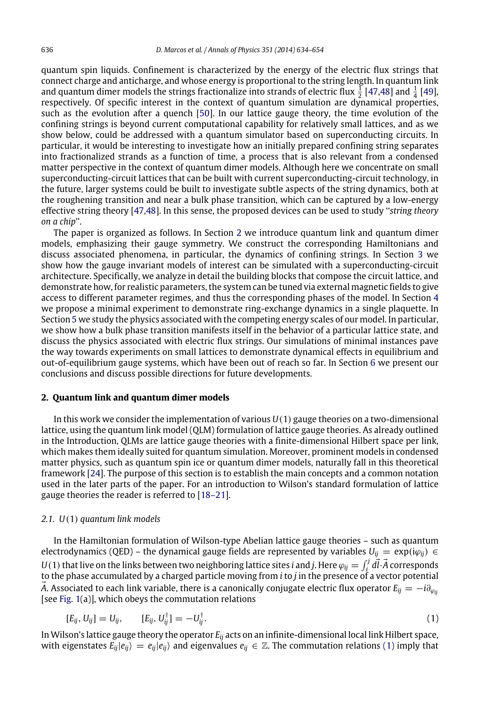quantum spin liquids. Confinement is characterized by the energy of the electric flux strings that connect charge and anticharge, and whose energy is proportional to the string length. In quantum link and quantum dimer models the strings fractionalize into strands of electric flux  $\frac{1}{2}$  [\[47](#page-20-6)[,48\]](#page-20-7) and  $\frac{1}{4}$  [\[49\]](#page-20-8),  $\frac{2}{2}$  respectively. Of specific interest in the context of quantum simulation are dynamical properties, such as the evolution after a quench [\[50\]](#page-20-9). In our lattice gauge theory, the time evolution of the confining strings is beyond current computational capability for relatively small lattices, and as we show below, could be addressed with a quantum simulator based on superconducting circuits. In particular, it would be interesting to investigate how an initially prepared confining string separates into fractionalized strands as a function of time, a process that is also relevant from a condensed matter perspective in the context of quantum dimer models. Although here we concentrate on small superconducting-circuit lattices that can be built with current superconducting-circuit technology, in the future, larger systems could be built to investigate subtle aspects of the string dynamics, both at the roughening transition and near a bulk phase transition, which can be captured by a low-energy effective string theory [\[47,](#page-20-6)[48\]](#page-20-7). In this sense, the proposed devices can be used to study ''*string theory on a chip*''.

The paper is organized as follows. In Section [2](#page-2-0) we introduce quantum link and quantum dimer models, emphasizing their gauge symmetry. We construct the corresponding Hamiltonians and discuss associated phenomena, in particular, the dynamics of confining strings. In Section [3](#page-7-0) we show how the gauge invariant models of interest can be simulated with a superconducting-circuit architecture. Specifically, we analyze in detail the building blocks that compose the circuit lattice, and demonstrate how, for realistic parameters, the system can be tuned via external magnetic fields to give access to different parameter regimes, and thus the corresponding phases of the model. In Section [4](#page-12-0) we propose a minimal experiment to demonstrate ring-exchange dynamics in a single plaquette. In Section [5](#page-14-0) we study the physics associated with the competing energy scales of our model. In particular, we show how a bulk phase transition manifests itself in the behavior of a particular lattice state, and discuss the physics associated with electric flux strings. Our simulations of minimal instances pave the way towards experiments on small lattices to demonstrate dynamical effects in equilibrium and out-of-equilibrium gauge systems, which have been out of reach so far. In Section [6](#page-17-0) we present our conclusions and discuss possible directions for future developments.

## <span id="page-2-0"></span>**2. Quantum link and quantum dimer models**

In this work we consider the implementation of various *U*(1) gauge theories on a two-dimensional lattice, using the quantum link model (QLM) formulation of lattice gauge theories. As already outlined in the Introduction, QLMs are lattice gauge theories with a finite-dimensional Hilbert space per link, which makes them ideally suited for quantum simulation. Moreover, prominent models in condensed matter physics, such as quantum spin ice or quantum dimer models, naturally fall in this theoretical framework [\[24\]](#page-19-12). The purpose of this section is to establish the main concepts and a common notation used in the later parts of the paper. For an introduction to Wilson's standard formulation of lattice gauge theories the reader is referred to [\[18–21\]](#page-19-8).

### *2.1. U*(1) *quantum link models*

In the Hamiltonian formulation of Wilson-type Abelian lattice gauge theories – such as quantum electrodynamics (QED) – the dynamical gauge fields are represented by variables  $U_{ij} = \exp(i\varphi_{ij}) \in$  $U(1)$  that live on the links between two neighboring lattice sites  $i$  and  $j$ . Here  $\varphi_{ij}=\int_{i}^{j}d\vec{l}\cdot\vec{A}$  corresponds to the phase accumulated by a charged particle moving from *i* to *j* in the presence of a vector potential  $\vec{A}$ . Associated to each link variable, there is a canonically conjugate electric flux operator  $E_{ij} = -i\partial_{\omega_{ij}}$ [see [Fig. 1\(](#page-3-0)a)], which obeys the commutation relations

<span id="page-2-1"></span>
$$
[E_{ij}, U_{ij}] = U_{ij}, \t [E_{ij}, U_{ij}^{\dagger}] = -U_{ij}^{\dagger}.
$$
 (1)

In Wilson's lattice gauge theory the operator *Eij* acts on an infinite-dimensional local link Hilbert space, with eigenstates  $E_{ii}|e_{ii}\rangle = e_{ii}|e_{ii}\rangle$  and eigenvalues  $e_{ii} \in \mathbb{Z}$ . The commutation relations [\(1\)](#page-2-1) imply that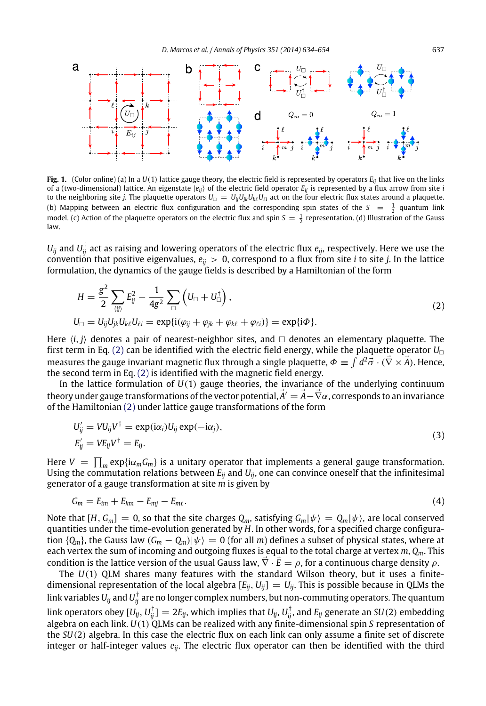<span id="page-3-0"></span>

**Fig. 1.** (Color online) (a) In a  $U(1)$  lattice gauge theory, the electric field is represented by operators  $E_{ij}$  that live on the links of a (two-dimensional) lattice. An eigenstate  $|e_{ii}\rangle$  of the electric field operator  $E_{ii}$  is represented by a flux arrow from site *i* to the neighboring site *j*. The plaquette operators  $U_{\Box} = U_{ij}U_{ik}U_{kl}U_{li}$  act on the four electric flux states around a plaquette. (b) Mapping between an electric flux configuration and the corresponding spin states of the  $S = \frac{1}{2}$  quantum link model. (c) Action of the plaquette operators on the electric flux and spin  $S = \frac{1}{2}$  representation. (d) Illustration of the Gauss law.

 $U_{ij}$  and  $U_{ij}^{\dagger}$  act as raising and lowering operators of the electric flux  $e_{ij}$ , respectively. Here we use the convention that positive eigenvalues,  $e_{ii} > 0$ , correspond to a flux from site *i* to site *j*. In the lattice formulation, the dynamics of the gauge fields is described by a Hamiltonian of the form

<span id="page-3-1"></span>
$$
H = \frac{g^2}{2} \sum_{\langle ij \rangle} E_{ij}^2 - \frac{1}{4g^2} \sum_{\square} \left( U_{\square} + U_{\square}^{\dagger} \right),
$$
  
\n
$$
U_{\square} = U_{ij} U_{jk} U_{k\ell} U_{\ell i} = \exp\{i(\varphi_{ij} + \varphi_{jk} + \varphi_{k\ell} + \varphi_{\ell i})\} = \exp\{i\Phi\}.
$$
\n(2)

Here  $\langle i, j \rangle$  denotes a pair of nearest-neighbor sites, and  $\Box$  denotes an elementary plaquette. The first term in Eq. [\(2\)](#page-3-1) can be identified with the electric field energy, while the plaquette operator  $U_{\square}$ measures the gauge invariant magnetic flux through a single plaquette,  $\phi \equiv \int d^2\vec{\sigma}\cdot(\vec{\nabla}\times\vec{A})$ . Hence, the second term in Eq. [\(2\)](#page-3-1) is identified with the magnetic field energy.

In the lattice formulation of  $U(1)$  gauge theories, the invariance of the underlying continuum theory under gauge transformations of the vector potential,  $\vec{A}' = \vec{A} - \vec{\nabla}\alpha$ , corresponds to an invariance of the Hamiltonian [\(2\)](#page-3-1) under lattice gauge transformations of the form

$$
U'_{ij} = VU_{ij}V^{\dagger} = \exp(i\alpha_i)U_{ij}\exp(-i\alpha_j),
$$
  
\n
$$
E'_{ij} = VE_{ij}V^{\dagger} = E_{ij}.
$$
\n(3)

Here  $V = \prod_m \exp\{i\alpha_m G_m\}$  is a unitary operator that implements a general gauge transformation. Using the commutation relations between  $E_{ij}$  and  $U_{ij}$ , one can convince oneself that the infinitesimal generator of a gauge transformation at site *m* is given by

$$
G_m = E_{im} + E_{km} - E_{mj} - E_{m\ell}.\tag{4}
$$

Note that  $[H, G_m] = 0$ , so that the site charges  $Q_m$ , satisfying  $G_m|\psi\rangle = Q_m|\psi\rangle$ , are local conserved quantities under the time-evolution generated by *H*. In other words, for a specified charge configuration  ${Q_m}$ , the Gauss law  $(G_m - Q_m)|\psi\rangle = 0$  (for all *m*) defines a subset of physical states, where at each vertex the sum of incoming and outgoing fluxes is equal to the total charge at vertex *m*, *Qm*. This condition is the lattice version of the usual Gauss law,  $\vec{\nabla} \cdot \vec{E} = \rho$ , for a continuous charge density  $\rho$ .

The *U*(1) QLM shares many features with the standard Wilson theory, but it uses a finitedimensional representation of the local algebra  $[E_{ij}, U_{ij}] = U_{ij}$ . This is possible because in QLMs the link variables  $U_{ij}$  and  $U_{ij}^\dagger$  are no longer complex numbers, but non-commuting operators. The quantum link operators obey  $[U_{ij},U_{ij}^\dagger]=2E_{ij}$ , which implies that  $U_{ij},U_{ij}^\dagger$ , and  $E_{ij}$  generate an SU(2) embedding algebra on each link. *U*(1) QLMs can be realized with any finite-dimensional spin *S* representation of the *SU*(2) algebra. In this case the electric flux on each link can only assume a finite set of discrete integer or half-integer values *eij*. The electric flux operator can then be identified with the third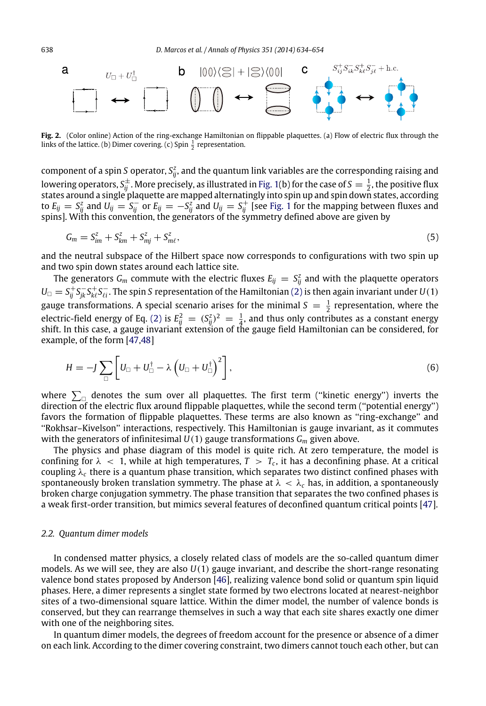<span id="page-4-1"></span>

**Fig. 2.** (Color online) Action of the ring-exchange Hamiltonian on flippable plaquettes. (a) Flow of electric flux through the links of the lattice. (b) Dimer covering. (c) Spin  $\frac{1}{2}$  representation.

component of a spin S operator,  $S_{ij}^z$ , and the quantum link variables are the corresponding raising and lowering operators,  $S_{ij}^\pm$ . More precisely, as illustrated in [Fig. 1\(](#page-3-0)b) for the case of  $S=\frac{1}{2}$ , the positive flux educing operators, whose process, we make alternative in right (b) for the case of  $\mathcal{L}_2$ , the positive half<br>states around a single plaquette are mapped alternatingly into spin up and spin down states, according to  $E_{ij} = S_{ij}^z$  and  $U_{ij} = S_{ij}^-$  or  $E_{ij} = -S_{ij}^z$  and  $U_{ij} = S_{ij}^+$  [see [Fig. 1](#page-3-0) for the mapping between fluxes and spins]. With this convention, the generators of the symmetry defined above are given by

$$
G_m = S_{im}^z + S_{km}^z + S_{mj}^z + S_{m\ell}^z,\tag{5}
$$

and the neutral subspace of the Hilbert space now corresponds to configurations with two spin up and two spin down states around each lattice site.

The generators  $G_m$  commute with the electric fluxes  $E_{ij}\ =\ S_{ij}^z$  and with the plaquette operators  $U_\Box=\c{S_{ij}^+S_{jk}^-S_{ki}^-}.$  The spin S representation of the Hamiltonian [\(2\)](#page-3-1) is then again invariant under  $U(1)$ gauge transformations. A special scenario arises for the minimal  $S = \frac{1}{2}$  representation, where the electric-field energy of Eq. [\(2\)](#page-3-1) is  $E_{ij}^2 = (S_{ij}^z)^2 = \frac{1}{4}$ , and thus only contributes as a constant energy shift. In this case, a gauge invariant extension of the gauge field Hamiltonian can be considered, for example, of the form [\[47,](#page-20-6)[48\]](#page-20-7)

<span id="page-4-0"></span>
$$
H = -J\sum_{\square} \left[ U_{\square} + U_{\square}^{\dagger} - \lambda \left( U_{\square} + U_{\square}^{\dagger} \right)^2 \right], \tag{6}
$$

where  $\sum_{\Box}$  denotes the sum over all plaquettes. The first term ("kinetic energy") inverts the direction of the electric flux around flippable plaquettes, while the second term (''potential energy'') favors the formation of flippable plaquettes. These terms are also known as ''ring-exchange'' and ''Rokhsar–Kivelson'' interactions, respectively. This Hamiltonian is gauge invariant, as it commutes with the generators of infinitesimal *U*(1) gauge transformations *G<sup>m</sup>* given above.

The physics and phase diagram of this model is quite rich. At zero temperature, the model is confining for  $\lambda~<~1$ , while at high temperatures,  $T~>~T_c$ , it has a deconfining phase. At a critical coupling  $\lambda_c$  there is a quantum phase transition, which separates two distinct confined phases with spontaneously broken translation symmetry. The phase at  $\lambda < \lambda_c$  has, in addition, a spontaneously broken charge conjugation symmetry. The phase transition that separates the two confined phases is a weak first-order transition, but mimics several features of deconfined quantum critical points [\[47\]](#page-20-6).

## *2.2. Quantum dimer models*

In condensed matter physics, a closely related class of models are the so-called quantum dimer models. As we will see, they are also *U*(1) gauge invariant, and describe the short-range resonating valence bond states proposed by Anderson [\[46\]](#page-20-5), realizing valence bond solid or quantum spin liquid phases. Here, a dimer represents a singlet state formed by two electrons located at nearest-neighbor sites of a two-dimensional square lattice. Within the dimer model, the number of valence bonds is conserved, but they can rearrange themselves in such a way that each site shares exactly one dimer with one of the neighboring sites.

In quantum dimer models, the degrees of freedom account for the presence or absence of a dimer on each link. According to the dimer covering constraint, two dimers cannot touch each other, but can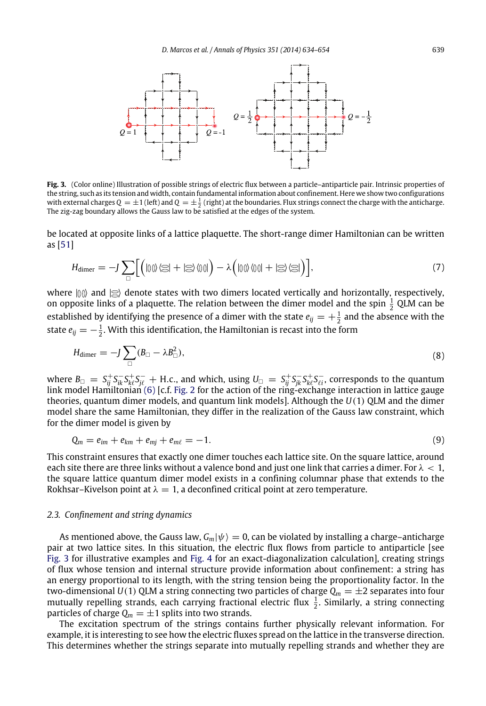<span id="page-5-0"></span>

**Fig. 3.** (Color online) Illustration of possible strings of electric flux between a particle–antiparticle pair. Intrinsic properties of the string, such as its tension and width, contain fundamental information about confinement. Here we show two configurations with external charges  $Q = \pm 1$  (left) and  $Q = \pm \frac{1}{2}$  (right) at the boundaries. Flux strings connect the charge with the anticharge. The zig-zag boundary allows the Gauss law to be satisfied at the edges of the system.

be located at opposite links of a lattice plaquette. The short-range dimer Hamiltonian can be written as [\[51\]](#page-20-10)

$$
H_{\text{dimer}} = -J \sum_{\Box} \Big[ \Big( |00\rangle \langle \boxtimes | + | \boxtimes \rangle \langle 00| \Big) - \lambda \Big( |00\rangle \langle 00| + | \boxtimes \rangle \langle \boxtimes | \Big) \Big], \tag{7}
$$

where  $|00\rangle$  and  $|\gtrsim$  denote states with two dimers located vertically and horizontally, respectively, on opposite links of a plaquette. The relation between the dimer model and the spin  $\frac{1}{2}$  QLM can be established by identifying the presence of a dimer with the state  $e_{ij} = +\frac{1}{2}$  and the absence with the state  $e_{ij} = -\frac{1}{2}$ . With this identification, the Hamiltonian is recast into the form

<span id="page-5-1"></span>
$$
H_{\text{dimer}} = -J \sum_{\square} (B_{\square} - \lambda B_{\square}^2), \tag{8}
$$

where  $B_{\Box} = S_{ij}^+ S_{ik}^- S_{k\ell}^+ S_{j\ell}^-$  + H.c., and which, using  $U_{\Box} = S_{ij}^+ S_{jk}^- S_{k\ell}^+ S_{\ell i}^-$ , corresponds to the quantum link model Hamiltonian [\(6\)](#page-4-0) [c.f. [Fig. 2](#page-4-1) for the action of the ring-exchange interaction in lattice gauge theories, quantum dimer models, and quantum link models]. Although the *U*(1) QLM and the dimer model share the same Hamiltonian, they differ in the realization of the Gauss law constraint, which for the dimer model is given by

$$
Q_m = e_{im} + e_{km} + e_{mj} + e_{m\ell} = -1.
$$
\n(9)

This constraint ensures that exactly one dimer touches each lattice site. On the square lattice, around each site there are three links without a valence bond and just one link that carries a dimer. For  $\lambda$  < 1, the square lattice quantum dimer model exists in a confining columnar phase that extends to the Rokhsar–Kivelson point at  $\lambda = 1$ , a deconfined critical point at zero temperature.

### *2.3. Confinement and string dynamics*

As mentioned above, the Gauss law,  $G_m|\psi\rangle = 0$ , can be violated by installing a charge–anticharge pair at two lattice sites. In this situation, the electric flux flows from particle to antiparticle [see [Fig. 3](#page-5-0) for illustrative examples and [Fig. 4](#page-6-0) for an exact-diagonalization calculation], creating strings of flux whose tension and internal structure provide information about confinement: a string has an energy proportional to its length, with the string tension being the proportionality factor. In the two-dimensional  $U(1)$  QLM a string connecting two particles of charge  $Q_m = \pm 2$  separates into four mutually repelling strands, each carrying fractional electric flux  $\frac{1}{2}$ . Similarly, a string connecting particles of charge  $Q_m = \pm 1$  splits into two strands.

The excitation spectrum of the strings contains further physically relevant information. For example, it is interesting to see how the electric fluxes spread on the lattice in the transverse direction. This determines whether the strings separate into mutually repelling strands and whether they are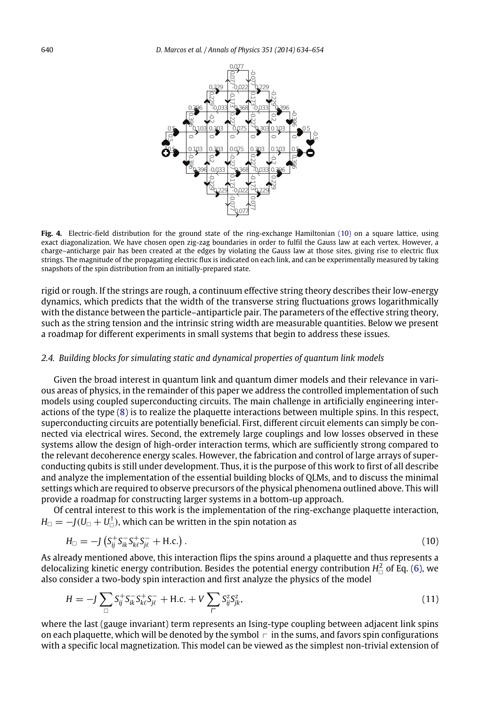<span id="page-6-0"></span>

**Fig. 4.** Electric-field distribution for the ground state of the ring-exchange Hamiltonian [\(10\)](#page-6-1) on a square lattice, using exact diagonalization. We have chosen open zig-zag boundaries in order to fulfil the Gauss law at each vertex. However, a charge–anticharge pair has been created at the edges by violating the Gauss law at those sites, giving rise to electric flux strings. The magnitude of the propagating electric flux is indicated on each link, and can be experimentally measured by taking snapshots of the spin distribution from an initially-prepared state.

rigid or rough. If the strings are rough, a continuum effective string theory describes their low-energy dynamics, which predicts that the width of the transverse string fluctuations grows logarithmically with the distance between the particle–antiparticle pair. The parameters of the effective string theory, such as the string tension and the intrinsic string width are measurable quantities. Below we present a roadmap for different experiments in small systems that begin to address these issues.

## *2.4. Building blocks for simulating static and dynamical properties of quantum link models*

Given the broad interest in quantum link and quantum dimer models and their relevance in various areas of physics, in the remainder of this paper we address the controlled implementation of such models using coupled superconducting circuits. The main challenge in artificially engineering interactions of the type [\(8\)](#page-5-1) is to realize the plaquette interactions between multiple spins. In this respect, superconducting circuits are potentially beneficial. First, different circuit elements can simply be connected via electrical wires. Second, the extremely large couplings and low losses observed in these systems allow the design of high-order interaction terms, which are sufficiently strong compared to the relevant decoherence energy scales. However, the fabrication and control of large arrays of superconducting qubits is still under development. Thus, it is the purpose of this work to first of all describe and analyze the implementation of the essential building blocks of QLMs, and to discuss the minimal settings which are required to observe precursors of the physical phenomena outlined above. This will provide a roadmap for constructing larger systems in a bottom-up approach.

Of central interest to this work is the implementation of the ring-exchange plaquette interaction,  $H_{\Box} = -J(U_{\Box} + U_{\Box}^{\dagger})$ , which can be written in the spin notation as

<span id="page-6-1"></span>
$$
H_{\Box} = -J \left( S_{ij}^{+} S_{ik}^{-} S_{k\ell}^{+} S_{j\ell}^{-} + \text{H.c.} \right). \tag{10}
$$

As already mentioned above, this interaction flips the spins around a plaquette and thus represents a delocalizing kinetic energy contribution. Besides the potential energy contribution  $H^2_\Box$  of Eq. [\(6\),](#page-4-0) we also consider a two-body spin interaction and first analyze the physics of the model

<span id="page-6-2"></span>
$$
H = -J \sum_{\Box} S_{ij}^{+} S_{ik}^{-} S_{k\ell}^{+} S_{j\ell}^{-} + \text{H.c.} + V \sum_{\Box} S_{ij}^{z} S_{jk}^{z}, \qquad (11)
$$

where the last (gauge invariant) term represents an Ising-type coupling between adjacent link spins on each plaquette, which will be denoted by the symbol  $\Gamma$  in the sums, and favors spin configurations with a specific local magnetization. This model can be viewed as the simplest non-trivial extension of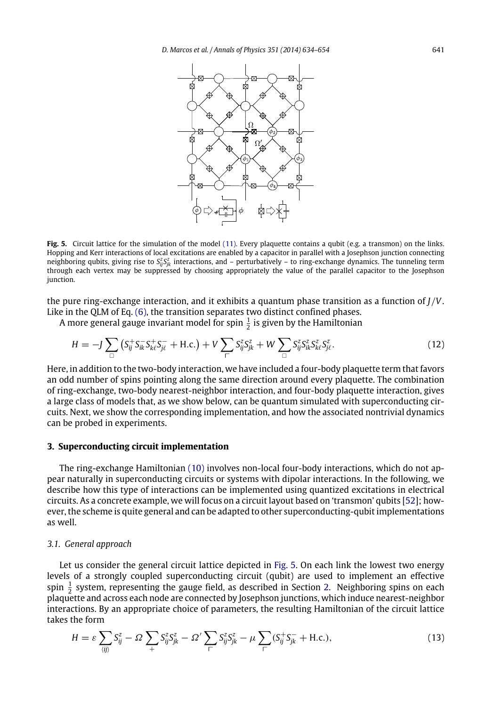<span id="page-7-1"></span>

Fig. 5. Circuit lattice for the simulation of the model [\(11\).](#page-6-2) Every plaquette contains a qubit (e.g. a transmon) on the links. Hopping and Kerr interactions of local excitations are enabled by a capacitor in parallel with a Josephson junction connecting neighboring qubits, giving rise to  $S_{ij}^zS_{jk}^z$  interactions, and – perturbatively – to ring-exchange dynamics. The tunneling term through each vertex may be suppressed by choosing appropriately the value of the parallel capacitor to the Josephson junction.

the pure ring-exchange interaction, and it exhibits a quantum phase transition as a function of *J*/*V*. Like in the QLM of Eq. [\(6\),](#page-4-0) the transition separates two distinct confined phases.

A more general gauge invariant model for spin  $\frac{1}{2}$  is given by the Hamiltonian

$$
H = -J \sum_{\Box} (S_{ij}^+ S_{ik}^- S_{k\ell}^+ S_{j\ell}^- + \text{H.c.}) + V \sum_{\Box} S_{ij}^z S_{jk}^z + W \sum_{\Box} S_{ij}^z S_{ik}^z S_{k\ell}^z S_{j\ell}^z.
$$
 (12)

Here, in addition to the two-body interaction, we have included a four-body plaquette term that favors an odd number of spins pointing along the same direction around every plaquette. The combination of ring-exchange, two-body nearest-neighbor interaction, and four-body plaquette interaction, gives a large class of models that, as we show below, can be quantum simulated with superconducting circuits. Next, we show the corresponding implementation, and how the associated nontrivial dynamics can be probed in experiments.

## <span id="page-7-0"></span>**3. Superconducting circuit implementation**

The ring-exchange Hamiltonian [\(10\)](#page-6-1) involves non-local four-body interactions, which do not appear naturally in superconducting circuits or systems with dipolar interactions. In the following, we describe how this type of interactions can be implemented using quantized excitations in electrical circuits. As a concrete example, we will focus on a circuit layout based on 'transmon' qubits [\[52\]](#page-20-11); however, the scheme is quite general and can be adapted to other superconducting-qubit implementations as well.

## *3.1. General approach*

Let us consider the general circuit lattice depicted in [Fig. 5.](#page-7-1) On each link the lowest two energy levels of a strongly coupled superconducting circuit (qubit) are used to implement an effective spin  $\frac{1}{2}$  system, representing the gauge field, as described in Section [2.](#page-2-0) Neighboring spins on each plaquette and across each node are connected by Josephson junctions, which induce nearest-neighbor interactions. By an appropriate choice of parameters, the resulting Hamiltonian of the circuit lattice takes the form

<span id="page-7-2"></span>
$$
H = \varepsilon \sum_{\langle ij \rangle} S_{ij}^z - \Omega \sum_{+} S_{ij}^z S_{jk}^z - \Omega' \sum_{\sqsubset} S_{ij}^z S_{jk}^z - \mu \sum_{\sqsubset} (S_{ij}^+ S_{jk}^- + \text{H.c.}), \tag{13}
$$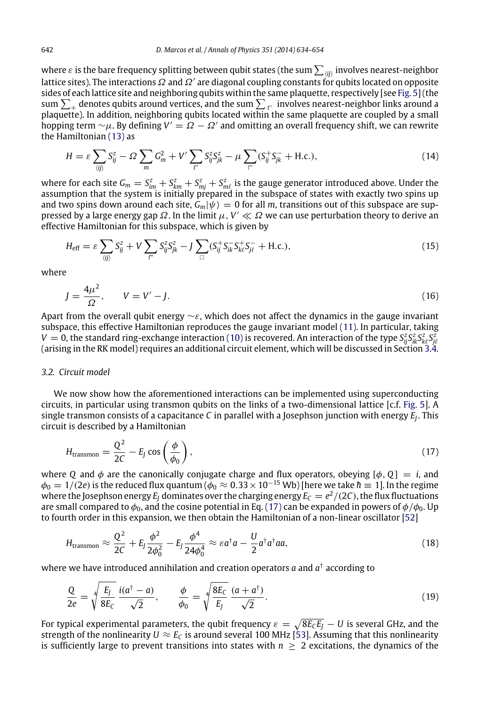where  $\varepsilon$  is the bare frequency splitting between qubit states (the sum  $\sum_{\langle ij\rangle}$  involves nearest-neighbor lattice sites). The interactions  $\varOmega$  and  $\varOmega'$  are diagonal coupling constants for qubits located on opposite sides of each lattice site and neighboring qubits within the same plaquette, respectively [see [Fig. 5\]](#page-7-1) (the sum  $\sum_+$  denotes qubits around vertices, and the sum  $\sum_\sqsubset$  involves nearest-neighbor links around a plaquette). In addition, neighboring qubits located within the same plaquette are coupled by a small hopping term  $\sim\!\mu$ . By defining  $V'=\Omega-\varOmega'$  and omitting an overall frequency shift, we can rewrite the Hamiltonian [\(13\)](#page-7-2) as

$$
H = \varepsilon \sum_{\langle ij \rangle} S_{ij}^z - \Omega \sum_m G_m^2 + V' \sum_{\sqsubset} S_{ij}^z S_{jk}^z - \mu \sum_{\sqsubset} (S_{ij}^+ S_{jk}^- + \text{H.c.}), \tag{14}
$$

where for each site  $G_m = S_{im}^z + S_{km}^z + S_{mj}^z + S_{m\ell}^z$  is the gauge generator introduced above. Under the assumption that the system is initially prepared in the subspace of states with exactly two spins up and two spins down around each site,  $G_m|\psi\rangle = 0$  for all *m*, transitions out of this subspace are suppressed by a large energy gap  $\varOmega.$  In the limit  $\mu,$   $V' \ll \varOmega$  we can use perturbation theory to derive an effective Hamiltonian for this subspace, which is given by

<span id="page-8-1"></span>
$$
H_{\text{eff}} = \varepsilon \sum_{\langle ij \rangle} S_{ij}^{z} + V \sum_{\sqsubset} S_{ij}^{z} S_{jk}^{z} - J \sum_{\Box} (S_{ij}^{+} S_{ik}^{-} S_{k\ell}^{+} S_{j\ell}^{-} + \text{H.c.}), \qquad (15)
$$

where

<span id="page-8-2"></span>
$$
J = \frac{4\mu^2}{\Omega}, \qquad V = V' - J. \tag{16}
$$

Apart from the overall qubit energy  $~\sim$ ε, which does not affect the dynamics in the gauge invariant subspace, this effective Hamiltonian reproduces the gauge invariant model [\(11\).](#page-6-2) In particular, taking  $V = 0$ , the standard ring-exchange interaction [\(10\)](#page-6-1) is recovered. An interaction of the type  $S_{ij}^z S_{ik}^z S_{k\ell}^z S_{j\ell}^z$ (arising in the RK model) requires an additional circuit element, which will be discussed in Section [3.4.](#page-11-0)

### *3.2. Circuit model*

We now show how the aforementioned interactions can be implemented using superconducting circuits, in particular using transmon qubits on the links of a two-dimensional lattice [c.f. [Fig. 5\]](#page-7-1). A single transmon consists of a capacitance *C* in parallel with a Josephson junction with energy *E<sup>J</sup>* . This circuit is described by a Hamiltonian

<span id="page-8-0"></span>
$$
H_{\text{transmon}} = \frac{Q^2}{2C} - E_J \cos\left(\frac{\phi}{\phi_0}\right),\tag{17}
$$

where *Q* and  $\phi$  are the canonically conjugate charge and flux operators, obeying  $[\phi, 0] = i$ , and  $\phi_0 = 1/(2e)$  is the reduced flux quantum ( $\phi_0 \approx 0.33 \times 10^{-15}$  Wb) [here we take  $\hbar \equiv 1$ ]. In the regime where the Josephson energy  $E_{J}$  dominates over the charging energy  $E_{\mathcal{C}}=e^2/(2\mathcal{C})$ , the flux fluctuations are small compared to  $\phi_0$ , and the cosine potential in Eq. [\(17\)](#page-8-0) can be expanded in powers of  $\phi/\phi_0$ . Up to fourth order in this expansion, we then obtain the Hamiltonian of a non-linear oscillator [\[52\]](#page-20-11)

$$
H_{\text{transmon}} \approx \frac{Q^2}{2C} + E_J \frac{\phi^2}{2\phi_0^2} - E_J \frac{\phi^4}{24\phi_0^4} \approx \varepsilon a^\dagger a - \frac{U}{2} a^\dagger a^\dagger a a,\tag{18}
$$

where we have introduced annihilation and creation operators  $a$  and  $a^\dagger$  according to

$$
\frac{Q}{2e} = \sqrt[4]{\frac{E_J}{8E_C}} \frac{i(a^\dagger - a)}{\sqrt{2}}, \qquad \frac{\phi}{\phi_0} = \sqrt[4]{\frac{8E_C}{E_J}} \frac{(a + a^\dagger)}{\sqrt{2}}.
$$
\n(19)

For typical experimental parameters, the qubit frequency  $\varepsilon\,=\,\sqrt{8E_{\mathsf{C}}E_{\mathsf{J}}}-U$  is several GHz, and the strength of the nonlinearity  $U \approx E_C$  is around several 100 MHz [\[53\]](#page-20-12). Assuming that this nonlinearity is sufficiently large to prevent transitions into states with  $n \geq 2$  excitations, the dynamics of the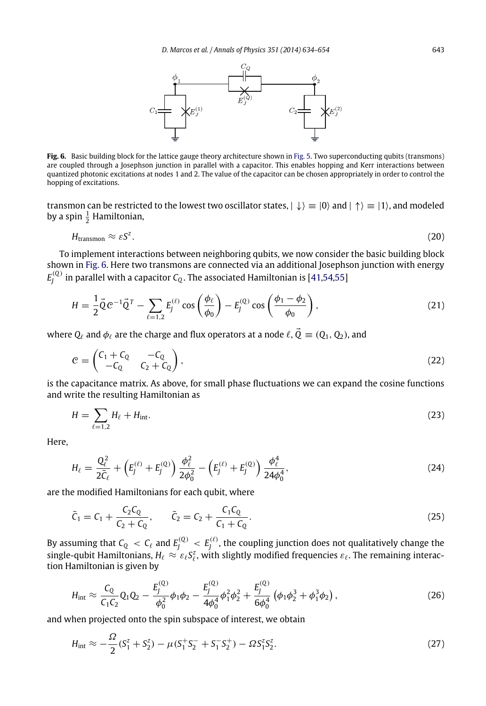

<span id="page-9-0"></span>**Fig. 6.** Basic building block for the lattice gauge theory architecture shown in [Fig. 5.](#page-7-1) Two superconducting qubits (transmons) are coupled through a Josephson junction in parallel with a capacitor. This enables hopping and Kerr interactions between quantized photonic excitations at nodes 1 and 2. The value of the capacitor can be chosen appropriately in order to control the hopping of excitations.

transmon can be restricted to the lowest two oscillator states,  $|\downarrow\rangle \equiv |0\rangle$  and  $|\uparrow\rangle \equiv |1\rangle$ , and modeled by a spin  $\frac{1}{2}$  Hamiltonian,

$$
H_{\text{transmon}} \approx \varepsilon S^z. \tag{20}
$$

To implement interactions between neighboring qubits, we now consider the basic building block shown in [Fig. 6.](#page-9-0) Here two transmons are connected via an additional Josephson junction with energy  $E^{(\mathrm{Q})}_J$  in parallel with a capacitor  $\mathcal{C}_{\mathrm{Q}}$  . The associated Hamiltonian is [\[41](#page-20-2)[,54,](#page-20-13)[55\]](#page-20-14)

$$
H = \frac{1}{2}\vec{Q}\,e^{-1}\vec{Q}^T - \sum_{\ell=1,2} E_j^{(\ell)}\cos\left(\frac{\phi_\ell}{\phi_0}\right) - E_j^{(Q)}\cos\left(\frac{\phi_1 - \phi_2}{\phi_0}\right),\tag{21}
$$

where  $Q_\ell$  and  $\phi_\ell$  are the charge and flux operators at a node  $\ell$ ,  $\overline{Q} \equiv (Q_1, Q_2)$ , and

$$
\mathcal{C} = \begin{pmatrix} C_1 + C_0 & -C_0 \\ -C_0 & C_2 + C_0 \end{pmatrix},\tag{22}
$$

is the capacitance matrix. As above, for small phase fluctuations we can expand the cosine functions and write the resulting Hamiltonian as

$$
H = \sum_{\ell=1,2} H_{\ell} + H_{\text{int}}.\tag{23}
$$

Here,

$$
H_{\ell} = \frac{Q_{\ell}^{2}}{2\bar{C}_{\ell}} + \left(E_{j}^{(\ell)} + E_{j}^{(Q)}\right) \frac{\phi_{\ell}^{2}}{2\phi_{0}^{2}} - \left(E_{j}^{(\ell)} + E_{j}^{(Q)}\right) \frac{\phi_{\ell}^{4}}{24\phi_{0}^{4}},
$$
\n(24)

are the modified Hamiltonians for each qubit, where

$$
\bar{C}_1 = C_1 + \frac{C_2 C_0}{C_2 + C_0}, \qquad \bar{C}_2 = C_2 + \frac{C_1 C_0}{C_1 + C_0}.
$$
\n(25)

By assuming that  $\mathcal{C}_Q\ <\ \mathcal{C}_\ell$  and  $E_J^{(Q)}\ <\ E_J^{(\ell)}$ , the coupling junction does not qualitatively change the single-qubit Hamiltonians,  $H_\ell \approx \varepsilon_\ell S_\ell^z$ , with slightly modified frequencies  $\varepsilon_\ell$ . The remaining interaction Hamiltonian is given by

$$
H_{\rm int} \approx \frac{C_Q}{C_1 C_2} Q_1 Q_2 - \frac{E_J^{(Q)}}{\phi_0^2} \phi_1 \phi_2 - \frac{E_J^{(Q)}}{4\phi_0^4} \phi_1^2 \phi_2^2 + \frac{E_J^{(Q)}}{6\phi_0^4} \left( \phi_1 \phi_2^3 + \phi_1^3 \phi_2 \right), \tag{26}
$$

and when projected onto the spin subspace of interest, we obtain

$$
H_{\text{int}} \approx -\frac{\Omega}{2} (S_1^z + S_2^z) - \mu (S_1^+ S_2^- + S_1^- S_2^+) - \Omega S_1^z S_2^z. \tag{27}
$$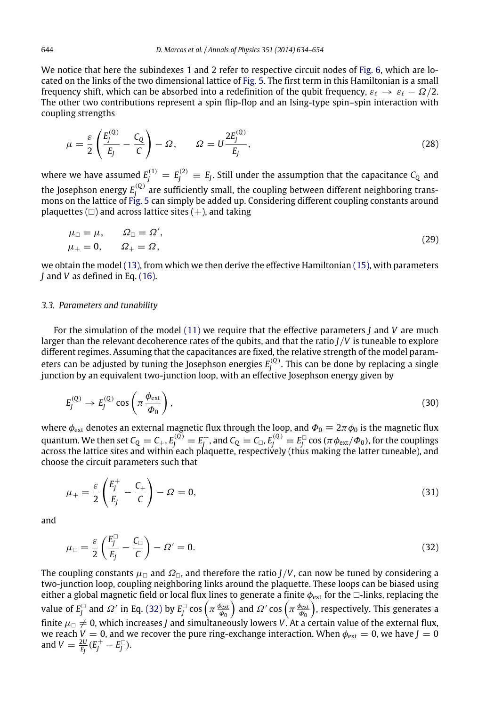We notice that here the subindexes 1 and 2 refer to respective circuit nodes of [Fig. 6,](#page-9-0) which are located on the links of the two dimensional lattice of [Fig. 5.](#page-7-1) The first term in this Hamiltonian is a small frequency shift, which can be absorbed into a redefinition of the qubit frequency,  $\varepsilon_{\ell} \to \varepsilon_{\ell} - \Omega/2$ . The other two contributions represent a spin flip-flop and an Ising-type spin–spin interaction with coupling strengths

$$
\mu = \frac{\varepsilon}{2} \left( \frac{E_J^{(Q)}}{E_J} - \frac{C_Q}{C} \right) - \Omega, \qquad \Omega = U \frac{2E_J^{(Q)}}{E_J},\tag{28}
$$

where we have assumed  $E^{(1)}_f = E^{(2)}_f \equiv E_f$ . Still under the assumption that the capacitance  $C_Q$  and the Josephson energy  $E_j^{(Q)}$  are sufficiently small, the coupling between different neighboring transmons on the lattice of [Fig. 5](#page-7-1) can simply be added up. Considering different coupling constants around plaquettes ( $\Box$ ) and across lattice sites ( $+$ ), and taking

$$
\mu_{\square} = \mu, \qquad \Omega_{\square} = \Omega', \n\mu_{+} = 0, \qquad \Omega_{+} = \Omega,
$$
\n(29)

we obtain the model [\(13\),](#page-7-2) from which we then derive the effective Hamiltonian [\(15\),](#page-8-1) with parameters *J* and *V* as defined in Eq. [\(16\).](#page-8-2)

### *3.3. Parameters and tunability*

For the simulation of the model [\(11\)](#page-6-2) we require that the effective parameters *J* and *V* are much larger than the relevant decoherence rates of the qubits, and that the ratio *J*/*V* is tuneable to explore different regimes. Assuming that the capacitances are fixed, the relative strength of the model parameters can be adjusted by tuning the Josephson energies  $E^{(\mathbb{Q})}_{j}$ . This can be done by replacing a single junction by an equivalent two-junction loop, with an effective Josephson energy given by

$$
E_J^{(Q)} \to E_J^{(Q)} \cos\left(\pi \frac{\phi_{\text{ext}}}{\phi_0}\right),\tag{30}
$$

where  $\phi_{\rm ext}$  denotes an external magnetic flux through the loop, and  $\Phi_0\equiv 2\pi\phi_0$  is the magnetic flux quantum. We then set  $C_Q=C_+,E_J^{(Q)}=E_J^+$ , and  $C_Q=C_\square,E_J^{(Q)}=E_J^{\square}\cos{(\pi\phi_{\rm ext}/\phi_0)}$ , for the couplings across the lattice sites and within each plaquette, respectively (thus making the latter tuneable), and choose the circuit parameters such that

<span id="page-10-1"></span>
$$
\mu_{+} = \frac{\varepsilon}{2} \left( \frac{E_J^+}{E_J} - \frac{C_+}{C} \right) - \Omega = 0, \tag{31}
$$

and

<span id="page-10-0"></span>
$$
\mu_{\square} = \frac{\varepsilon}{2} \left( \frac{E_{\square}^{\square}}{E_J} - \frac{C_{\square}}{C} \right) - \Omega' = 0. \tag{32}
$$

The coupling constants  $\mu_{\Box}$  and  $\Omega_{\Box}$ , and therefore the ratio *J*/*V*, can now be tuned by considering a two-junction loop, coupling neighboring links around the plaquette. These loops can be biased using either a global magnetic field or local flux lines to generate a finite  $\phi_{\rm ext}$  for the  $\Box$ -links, replacing the value of  $E_J^\square$  and  $\varOmega'$  in Eq. [\(32\)](#page-10-0) by  $E_J^\square$  cos  $\left(\pi\frac{\phi_\text{ext}}{\phi_0}\right)$  and  $\varOmega'$  cos  $\left(\pi\frac{\phi_\text{ext}}{\phi_0}\right)$ , respectively. This generates a finite  $\mu_{\Box} \neq 0$ , which increases *J* and simultaneously lowers *V*. At a certain value of the external flux, we reach  $V = 0$ , and we recover the pure ring-exchange interaction. When  $\phi_{ext} = 0$ , we have  $J = 0$ and  $V = \frac{2U}{E_J} (E_J^+ - E_J^-)$ .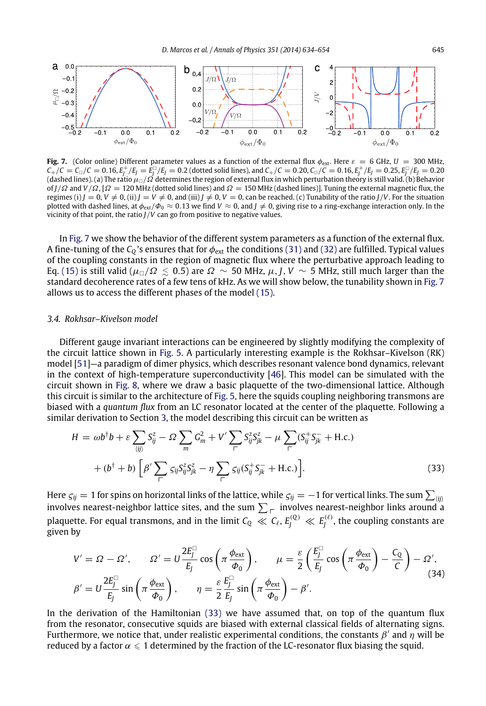<span id="page-11-1"></span>

**Fig. 7.** (Color online) Different parameter values as a function of the external flux  $\phi_{ext}$ . Here  $\varepsilon = 6$  GHz,  $U = 300$  MHz,  $C_+/C=C_{\Box}/C=0.16, E_J^+/E_J=\hat{E_J^{\Box}}/E_J=0.2$  (dotted solid lines), and  $C_+/C=0.20, C_{\Box}/\overline{C}=0.16, E_J^+/E_J=0.25, E_J^{\Box}/E_J=0.20$ (dashed lines). (a) The ratio  $\mu_{\Box}/\Omega$  determines the region of external flux in which perturbation theory is still valid. (b) Behavior of *J*/Ω and *V*/Ω, [Ω = 120 MHz (dotted solid lines) and Ω = 150 MHz (dashed lines)]. Tuning the external magnetic flux, the regimes (i)  $J = 0$ ,  $V \neq 0$ , (ii)  $J = V \neq 0$ , and (iii)  $J \neq 0$ ,  $V = 0$ , can be reached. (c) Tunability of the ratio  $J/V$ . For the situation plotted with dashed lines, at  $\phi_{ext}/\phi_0 \approx 0.13$  we find  $V \approx 0$ , and  $J \neq 0$ , giving rise to a ring-exchange interaction only. In the vicinity of that point, the ratio *J*/*V* can go from positive to negative values.

In [Fig. 7](#page-11-1) we show the behavior of the different system parameters as a function of the external flux. A fine-tuning of the  $C_Q$ 's ensures that for  $\phi_{ext}$  the conditions [\(31\)](#page-10-1) and [\(32\)](#page-10-0) are fulfilled. Typical values of the coupling constants in the region of magnetic flux where the perturbative approach leading to Eq. [\(15\)](#page-8-1) is still valid ( $\mu_{\Box}/\Omega \leq 0.5$ ) are  $\Omega \sim 50$  MHz,  $\mu$ , *J*, *V* ∼ 5 MHz, still much larger than the standard decoherence rates of a few tens of kHz. As we will show below, the tunability shown in [Fig. 7](#page-11-1) allows us to access the different phases of the model [\(15\).](#page-8-1)

## <span id="page-11-0"></span>*3.4. Rokhsar–Kivelson model*

Different gauge invariant interactions can be engineered by slightly modifying the complexity of the circuit lattice shown in [Fig. 5.](#page-7-1) A particularly interesting example is the Rokhsar–Kivelson (RK) model [\[51\]](#page-20-10)—a paradigm of dimer physics, which describes resonant valence bond dynamics, relevant in the context of high-temperature superconductivity [\[46\]](#page-20-5). This model can be simulated with the circuit shown in [Fig. 8,](#page-12-1) where we draw a basic plaquette of the two-dimensional lattice. Although this circuit is similar to the architecture of [Fig. 5,](#page-7-1) here the squids coupling neighboring transmons are biased with a *quantum flux* from an LC resonator located at the center of the plaquette. Following a similar derivation to Section [3,](#page-7-0) the model describing this circuit can be written as

<span id="page-11-2"></span>
$$
H = \omega b^{\dagger} b + \varepsilon \sum_{\langle ij \rangle} S_{ij}^{z} - \Omega \sum_{m} G_{m}^{2} + V' \sum_{\Gamma} S_{ij}^{z} S_{jk}^{z} - \mu \sum_{\Gamma} (S_{ij}^{+} S_{jk}^{-} + \text{H.c.})
$$
  
+  $(b^{\dagger} + b) \left[ \beta' \sum_{\Gamma} S_{ij} S_{ij}^{z} S_{jk}^{z} - \eta \sum_{\Gamma} S_{ij} (S_{ij}^{+} S_{jk}^{-} + \text{H.c.}) \right].$  (33)

Here  $\zeta_{ij}=1$  for spins on horizontal links of the lattice, while  $\zeta_{ij}=-1$  for vertical links. The sum  $\sum_{\langle ij\rangle}$ involves nearest-neighbor lattice sites, and the sum  $\sum_{\square}$  involves nearest-neighbor links around a plaquette. For equal transmons, and in the limit  $C_Q\,\ll\,C_\ell,\,E_J^{(Q)}\,\ll\,E_J^{(\ell)}$ , the coupling constants are given by

$$
V' = \Omega - \Omega', \qquad \Omega' = U \frac{2E_J^{\square}}{E_J} \cos\left(\pi \frac{\phi_{\text{ext}}}{\phi_0}\right), \qquad \mu = \frac{\varepsilon}{2} \left(\frac{E_J^{\square}}{E_J} \cos\left(\pi \frac{\phi_{\text{ext}}}{\phi_0}\right) - \frac{C_Q}{C}\right) - \Omega',
$$
  

$$
\beta' = U \frac{2E_J^{\square}}{E_J} \sin\left(\pi \frac{\phi_{\text{ext}}}{\phi_0}\right), \qquad \eta = \frac{\varepsilon}{2} \frac{E_J^{\square}}{E_J} \sin\left(\pi \frac{\phi_{\text{ext}}}{\phi_0}\right) - \beta'.
$$
 (34)

In the derivation of the Hamiltonian [\(33\)](#page-11-2) we have assumed that, on top of the quantum flux from the resonator, consecutive squids are biased with external classical fields of alternating signs. Furthermore, we notice that, under realistic experimental conditions, the constants  $\beta'$  and  $\eta$  will be reduced by a factor  $\alpha \leq 1$  determined by the fraction of the LC-resonator flux biasing the squid.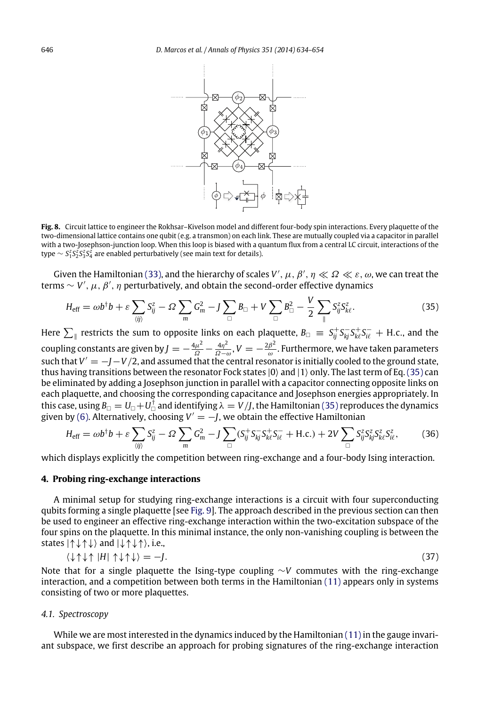<span id="page-12-2"></span><span id="page-12-1"></span>

**Fig. 8.** Circuit lattice to engineer the Rokhsar–Kivelson model and different four-body spin interactions. Every plaquette of the two-dimensional lattice contains one qubit (e.g. a transmon) on each link. These are mutually coupled via a capacitor in parallel with a two-Josephson-junction loop. When this loop is biased with a quantum flux from a central LC circuit, interactions of the type  $\sim$   $S_1^z S_2^z S_3^z S_4^z$  are enabled perturbatively (see main text for details).

Given the Hamiltonian [\(33\),](#page-11-2) and the hierarchy of scales  $V'$  ,  $\mu$  ,  $\beta'$  ,  $\eta \ll \Omega \ll \varepsilon$  ,  $\omega$ , we can treat the terms  $\sim$  V',  $\mu,$   $\beta',$   $\eta$  perturbatively, and obtain the second-order effective dynamics

$$
H_{\text{eff}} = \omega b^{\dagger} b + \varepsilon \sum_{\langle ij \rangle} S_{ij}^{z} - \Omega \sum_{m} G_{m}^{2} - J \sum_{\Box} B_{\Box} + V \sum_{\Box} B_{\Box}^{2} - \frac{V}{2} \sum_{\parallel} S_{ij}^{z} S_{k\ell}^{z}.
$$
 (35)

Here  $\sum_{\parallel}$  restricts the sum to opposite links on each plaquette,  $B_\Box\equiv S^+_{ij}S^-_{kj}S^+_{k\ell}S^-_{i\ell}+$  H.c., and the coupling constants are given by  $J=-\frac{4\mu^2}{\Omega}-\frac{4\eta^2}{\Omega-\alpha}$  $rac{4\eta^2}{\Omega-\omega}$ ,  $V=-\frac{2\beta^2}{\omega}$  $\frac{\rho}{\omega}$  . Furthermore, we have taken parameters such that  $V' = -J - V/2$ , and assumed that the central resonator is initially cooled to the ground state, thus having transitions between the resonator Fock states  $|0\rangle$  and  $|1\rangle$  only. The last term of Eq. [\(35\)](#page-12-2) can be eliminated by adding a Josephson junction in parallel with a capacitor connecting opposite links on each plaquette, and choosing the corresponding capacitance and Josephson energies appropriately. In this case, using  $B_\Box=U_\Box+U_\Box^\dag$  and identifying  $\lambda=V/J$ , the Hamiltonian [\(35\)](#page-12-2) reproduces the dynamics given by [\(6\).](#page-4-0) Alternatively, choosing  $V'=-J$ , we obtain the effective Hamiltonian

$$
H_{\text{eff}} = \omega b^{\dagger} b + \varepsilon \sum_{\langle ij \rangle} S_{ij}^{z} - \Omega \sum_{m} G_{m}^{2} - J \sum_{\Box} (S_{ij}^{+} S_{kj}^{-} S_{k\ell}^{+} S_{i\ell}^{-} + \text{H.c.}) + 2V \sum_{\Box} S_{ij}^{z} S_{kj}^{z} S_{k\ell}^{z} S_{i\ell}^{z}, \tag{36}
$$

which displays explicitly the competition between ring-exchange and a four-body Ising interaction.

### <span id="page-12-0"></span>**4. Probing ring-exchange interactions**

A minimal setup for studying ring-exchange interactions is a circuit with four superconducting qubits forming a single plaquette [see [Fig. 9\]](#page-13-0). The approach described in the previous section can then be used to engineer an effective ring-exchange interaction within the two-excitation subspace of the four spins on the plaquette. In this minimal instance, the only non-vanishing coupling is between the states |↑↓↑↓⟩ and |↓↑↓↑⟩, i.e.,

$$
\langle \downarrow \uparrow \downarrow \uparrow |H| \uparrow \downarrow \uparrow \downarrow \rangle = -J. \tag{37}
$$

Note that for a single plaquette the Ising-type coupling ∼*V* commutes with the ring-exchange interaction, and a competition between both terms in the Hamiltonian [\(11\)](#page-6-2) appears only in systems consisting of two or more plaquettes.

## *4.1. Spectroscopy*

While we are most interested in the dynamics induced by the Hamiltonian [\(11\)](#page-6-2) in the gauge invariant subspace, we first describe an approach for probing signatures of the ring-exchange interaction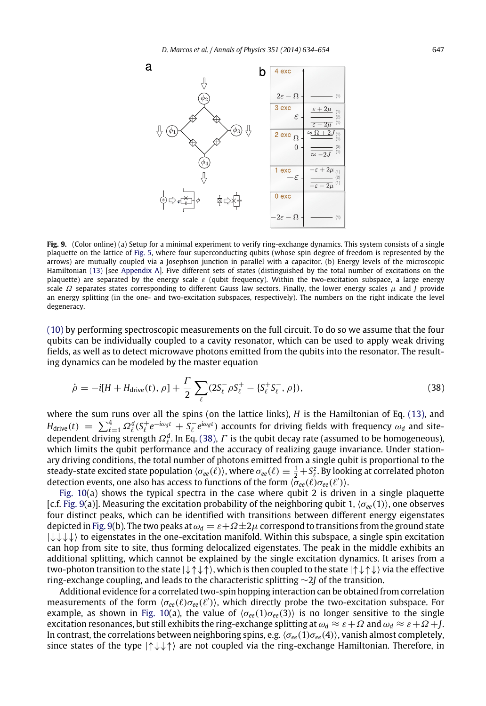<span id="page-13-0"></span>

**Fig. 9.** (Color online) (a) Setup for a minimal experiment to verify ring-exchange dynamics. This system consists of a single plaquette on the lattice of [Fig. 5,](#page-7-1) where four superconducting qubits (whose spin degree of freedom is represented by the arrows) are mutually coupled via a Josephson junction in parallel with a capacitor. (b) Energy levels of the microscopic Hamiltonian [\(13\)](#page-7-2) [see [Appendix A\]](#page-18-0). Five different sets of states (distinguished by the total number of excitations on the plaquette) are separated by the energy scale  $\varepsilon$  (qubit frequency). Within the two-excitation subspace, a large energy scale Ω separates states corresponding to different Gauss law sectors. Finally, the lower energy scales  $\mu$  and *J* provide an energy splitting (in the one- and two-excitation subspaces, respectively). The numbers on the right indicate the level degeneracy.

[\(10\)](#page-6-1) by performing spectroscopic measurements on the full circuit. To do so we assume that the four qubits can be individually coupled to a cavity resonator, which can be used to apply weak driving fields, as well as to detect microwave photons emitted from the qubits into the resonator. The resulting dynamics can be modeled by the master equation

<span id="page-13-1"></span>
$$
\dot{\rho} = -i[H + H_{\text{drive}}(t), \rho] + \frac{\Gamma}{2} \sum_{\ell} (2S_{\ell}^{-} \rho S_{\ell}^{+} - \{S_{\ell}^{+} S_{\ell}^{-}, \rho\}), \tag{38}
$$

where the sum runs over all the spins (on the lattice links), *H* is the Hamiltonian of Eq. [\(13\),](#page-7-2) and  $H_{\text{drive}}(t) = \sum_{\ell=1}^4 \Omega_{\ell}^d (S_{\ell}^+ e^{-i\omega_d t} + S_{\ell}^- e^{i\omega_d t})$  accounts for driving fields with frequency  $\omega_d$  and sitedependent driving strength  $\Omega_{\ell}^d$ . In Eq. [\(38\),](#page-13-1)  $\Gamma$  is the qubit decay rate (assumed to be homogeneous), which limits the qubit performance and the accuracy of realizing gauge invariance. Under stationary driving conditions, the total number of photons emitted from a single qubit is proportional to the steady-state excited state population  $\langle \sigma_{ee}(\ell) \rangle$ , where  $\sigma_{ee}(\ell) \equiv \frac{1}{2}+S_\ell^z$ . By looking at correlated photon detection events, one also has access to functions of the form ⟨σ*ee*(ℓ)σ*ee*(ℓ′ )⟩.

[Fig. 10\(](#page-14-1)a) shows the typical spectra in the case where qubit 2 is driven in a single plaquette [c.f. [Fig. 9\(](#page-13-0)a)]. Measuring the excitation probability of the neighboring qubit 1, ⟨σ*ee*(1)⟩, one observes four distinct peaks, which can be identified with transitions between different energy eigenstates depicted in [Fig. 9\(](#page-13-0)b). The two peaks at  $\omega_d = \varepsilon + \Omega \pm 2\mu$  correspond to transitions from the ground state |↓↓↓↓⟩ to eigenstates in the one-excitation manifold. Within this subspace, a single spin excitation can hop from site to site, thus forming delocalized eigenstates. The peak in the middle exhibits an additional splitting, which cannot be explained by the single excitation dynamics. It arises from a two-photon transition to the state |↓↑↓↑⟩, which is then coupled to the state |↑↓↑↓⟩ via the effective ring-exchange coupling, and leads to the characteristic splitting ∼2*J* of the transition.

Additional evidence for a correlated two-spin hopping interaction can be obtained from correlation measurements of the form ⟨σ*ee*(ℓ)σ*ee*(ℓ′ )⟩, which directly probe the two-excitation subspace. For example, as shown in [Fig. 10\(](#page-14-1)a), the value of  $\langle \sigma_{ee}(1)\sigma_{ee}(3)\rangle$  is no longer sensitive to the single excitation resonances, but still exhibits the ring-exchange splitting at  $\omega_d \approx \varepsilon + \Omega$  and  $\omega_d \approx \varepsilon + \Omega + I$ . In contrast, the correlations between neighboring spins, e.g.⟨σ*ee*(1)σ*ee*(4)⟩, vanish almost completely, since states of the type  $|\uparrow\downarrow\downarrow\uparrow\rangle$  are not coupled via the ring-exchange Hamiltonian. Therefore, in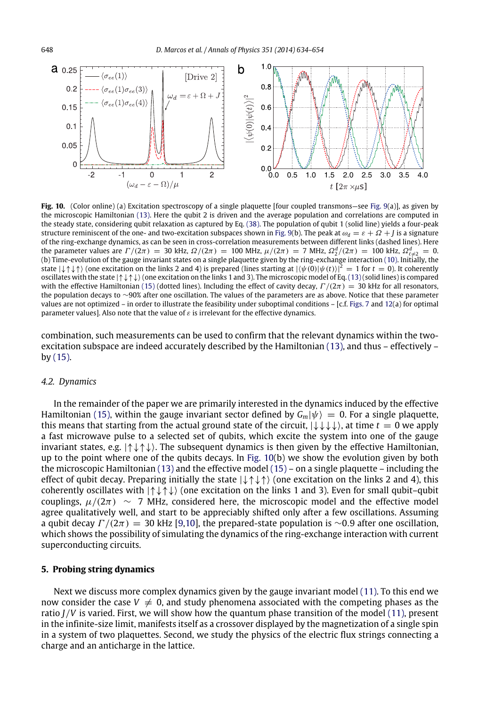<span id="page-14-1"></span>

**Fig. 10.** (Color online) (a) Excitation spectroscopy of a single plaquette [four coupled transmons—see [Fig. 9\(](#page-13-0)a)], as given by the microscopic Hamiltonian [\(13\).](#page-7-2) Here the qubit 2 is driven and the average population and correlations are computed in the steady state, considering qubit relaxation as captured by Eq. [\(38\).](#page-13-1) The population of qubit 1 (solid line) yields a four-peak structure reminiscent of the one- and two-excitation subspaces shown in [Fig. 9\(](#page-13-0)b). The peak at  $\omega_d = \varepsilon + \Omega + I$  is a signature of the ring-exchange dynamics, as can be seen in cross-correlation measurements between different links (dashed lines). Here the parameter values are  $\Gamma/(2\pi) = 30$  kHz,  $\Omega/(2\pi) = 100$  MHz,  $\mu/(2\pi) = 7$  MHz,  $\Omega_2^d/(2\pi) = 100$  kHz,  $\Omega_{\ell \neq 2}^d = 0$ . (b) Time-evolution of the gauge invariant states on a single plaquette given by the ring-exchange interaction [\(10\).](#page-6-1) Initially, the state  $|\downarrow \uparrow \downarrow \uparrow \rangle$  (one excitation on the links 2 and 4) is prepared (lines starting at  $|\langle \psi(0)|\psi(t)\rangle|^2 = 1$  for  $t = 0$ ). It coherently oscillates with the state |↑↓↑↓⟩ (one excitation on the links 1 and 3). The microscopic model of Eq. [\(13\)](#page-7-2) (solid lines) is compared with the effective Hamiltonian [\(15\)](#page-8-1) (dotted lines). Including the effect of cavity decay,  $\Gamma/(2\pi) = 30$  kHz for all resonators, the population decays to ∼90% after one oscillation. The values of the parameters are as above. Notice that these parameter values are not optimized – in order to illustrate the feasibility under suboptimal conditions – [c.f. [Figs. 7](#page-11-1) and [12\(](#page-16-0)a) for optimal parameter values]. Also note that the value of  $\varepsilon$  is irrelevant for the effective dynamics.

combination, such measurements can be used to confirm that the relevant dynamics within the twoexcitation subspace are indeed accurately described by the Hamiltonian [\(13\),](#page-7-2) and thus – effectively – by [\(15\).](#page-8-1)

## *4.2. Dynamics*

In the remainder of the paper we are primarily interested in the dynamics induced by the effective Hamiltonian [\(15\),](#page-8-1) within the gauge invariant sector defined by  $G_m|\psi\rangle = 0$ . For a single plaquette, this means that starting from the actual ground state of the circuit,  $|\downarrow \downarrow \downarrow \downarrow \rangle$ , at time  $t = 0$  we apply a fast microwave pulse to a selected set of qubits, which excite the system into one of the gauge invariant states, e.g. |↑↓↑↓⟩. The subsequent dynamics is then given by the effective Hamiltonian, up to the point where one of the qubits decays. In [Fig. 10\(](#page-14-1)b) we show the evolution given by both the microscopic Hamiltonian [\(13\)](#page-7-2) and the effective model [\(15\)](#page-8-1) – on a single plaquette – including the effect of qubit decay. Preparing initially the state  $|\downarrow \uparrow \downarrow \uparrow \rangle$  (one excitation on the links 2 and 4), this coherently oscillates with  $|\uparrow\downarrow\uparrow\downarrow\rangle$  (one excitation on the links 1 and 3). Even for small qubit–qubit couplings,  $\mu/(2\pi) \sim 7$  MHz, considered here, the microscopic model and the effective model agree qualitatively well, and start to be appreciably shifted only after a few oscillations. Assuming a qubit decay  $\Gamma/(2\pi) = 30$  kHz [\[9](#page-19-4)[,10\]](#page-19-13), the prepared-state population is ∼0.9 after one oscillation, which shows the possibility of simulating the dynamics of the ring-exchange interaction with current superconducting circuits.

## <span id="page-14-0"></span>**5. Probing string dynamics**

Next we discuss more complex dynamics given by the gauge invariant model [\(11\).](#page-6-2) To this end we now consider the case  $V \neq 0$ , and study phenomena associated with the competing phases as the ratio *J*/*V* is varied. First, we will show how the quantum phase transition of the model [\(11\),](#page-6-2) present in the infinite-size limit, manifests itself as a crossover displayed by the magnetization of a single spin in a system of two plaquettes. Second, we study the physics of the electric flux strings connecting a charge and an anticharge in the lattice.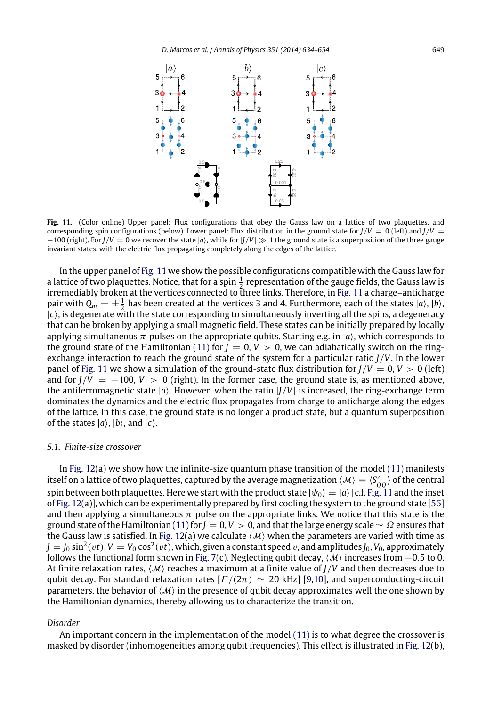<span id="page-15-0"></span>

Fig. 11. (Color online) Upper panel: Flux configurations that obey the Gauss law on a lattice of two plaquettes, and corresponding spin configurations (below). Lower panel: Flux distribution in the ground state for  $J/V = 0$  (left) and  $J/V =$ −100 (right). For *J*/*V* = 0 we recover the state |*a*⟩, while for |*J*/*V*| ≫ 1 the ground state is a superposition of the three gauge invariant states, with the electric flux propagating completely along the edges of the lattice.

In the upper panel of [Fig. 11](#page-15-0) we show the possible configurations compatible with the Gauss law for a lattice of two plaquettes. Notice, that for a spin  $\frac{1}{2}$  representation of the gauge fields, the Gauss law is irremediably broken at the vertices connected to three links. Therefore, in [Fig. 11](#page-15-0) a charge–anticharge pair with  $Q_m = \pm \frac{1}{2}$  has been created at the vertices 3 and 4. Furthermore, each of the states  $|a\rangle$ ,  $|b\rangle$ , |*c*⟩, is degenerate with the state corresponding to simultaneously inverting all the spins, a degeneracy that can be broken by applying a small magnetic field. These states can be initially prepared by locally applying simultaneous  $\pi$  pulses on the appropriate qubits. Starting e.g. in  $|a\rangle$ , which corresponds to the ground state of the Hamiltonian [\(11\)](#page-6-2) for  $J = 0$ ,  $V > 0$ , we can adiabatically switch on the ringexchange interaction to reach the ground state of the system for a particular ratio *J*/*V*. In the lower panel of [Fig. 11](#page-15-0) we show a simulation of the ground-state flux distribution for  $J/V = 0$ ,  $V > 0$  (left) and for  $J/V = -100$ ,  $V > 0$  (right). In the former case, the ground state is, as mentioned above, the antiferromagnetic state |*a*⟩. However, when the ratio |*J*/*V*| is increased, the ring-exchange term dominates the dynamics and the electric flux propagates from charge to anticharge along the edges of the lattice. In this case, the ground state is no longer a product state, but a quantum superposition of the states  $|a\rangle$ ,  $|b\rangle$ , and  $|c\rangle$ .

## <span id="page-15-1"></span>*5.1. Finite-size crossover*

In [Fig. 12\(](#page-16-0)a) we show how the infinite-size quantum phase transition of the model [\(11\)](#page-6-2) manifests itself on a lattice of two plaquettes, captured by the average magnetization  $\langle\mathcal{M}\rangle\equiv\langle S^z_{Q\bar{Q}}\rangle$  of the central spin between both plaquettes. Here we start with the product state  $|\psi_0\rangle = |a\rangle$  [c.f. [Fig. 11](#page-15-0) and the inset of [Fig. 12\(](#page-16-0)a)], which can be experimentally prepared by first cooling the system to the ground state [\[56\]](#page-20-15) and then applying a simultaneous  $\pi$  pulse on the appropriate links. We notice that this state is the ground state of the Hamiltonian [\(11\)](#page-6-2) for  $J = 0, V > 0$ , and that the large energy scale ∼  $\Omega$  ensures that the Gauss law is satisfied. In [Fig. 12\(](#page-16-0)a) we calculate  $\langle \mathcal{M} \rangle$  when the parameters are varied with time as  $J = J_0 \sin^2(v t)$  ,  $V = V_0 \cos^2(v t)$  , which, given a constant speed  $v$  , and amplitudes  $J_0$  ,  $V_0$  , approximately follows the functional form shown in [Fig. 7\(](#page-11-1)c). Neglecting qubit decay,  $\langle M \rangle$  increases from  $-0.5$  to 0. At finite relaxation rates, ⟨M⟩ reaches a maximum at a finite value of *J*/*V* and then decreases due to qubit decay. For standard relaxation rates  $\left[\frac{\Gamma}{(2\pi)} \sim 20 \text{ kHz}\right]$  [\[9,](#page-19-4)[10\]](#page-19-13), and superconducting-circuit parameters, the behavior of  $\langle M \rangle$  in the presence of qubit decay approximates well the one shown by the Hamiltonian dynamics, thereby allowing us to characterize the transition.

## *Disorder*

An important concern in the implementation of the model [\(11\)](#page-6-2) is to what degree the crossover is masked by disorder (inhomogeneities among qubit frequencies). This effect is illustrated in [Fig. 12\(](#page-16-0)b),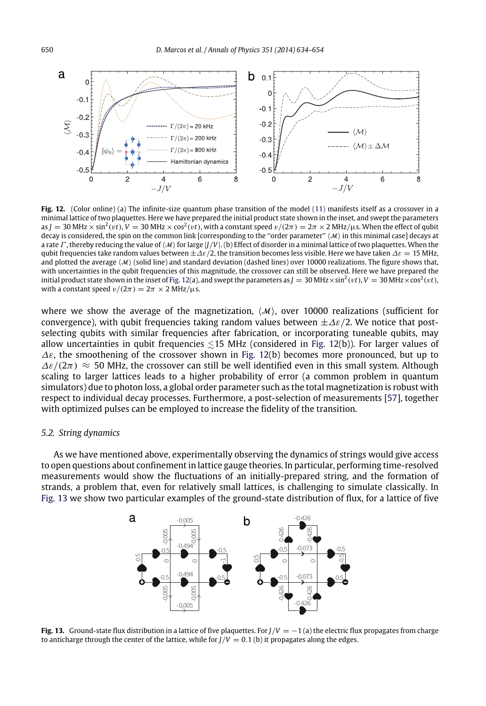<span id="page-16-0"></span>

**Fig. 12.** (Color online) (a) The infinite-size quantum phase transition of the model [\(11\)](#page-6-2) manifests itself as a crossover in a minimal lattice of two plaquettes. Here we have prepared the initial product state shown in the inset, and swept the parameters as *J* = 30 MHz  $\times$  sin<sup>2</sup>(*vt*), *V* = 30 MHz  $\times$  cos<sup>2</sup>(*vt*), with a constant speed  $v/(2\pi) = 2\pi \times 2$  MHz/ $\mu$ s. When the effect of qubit decay is considered, the spin on the common link [corresponding to the "order parameter"  $\langle M \rangle$  in this minimal case] decays at a rate Γ , thereby reducing the value of⟨M⟩for large |*J*/*V*|. (b) Effect of disorder in a minimal lattice of two plaquettes. When the qubit frequencies take random values between  $\pm\Delta\varepsilon/2$ , the transition becomes less visible. Here we have taken  $\Delta\varepsilon = 15$  MHz, and plotted the average  $\langle M \rangle$  (solid line) and standard deviation (dashed lines) over 10000 realizations. The figure shows that, with uncertainties in the qubit frequencies of this magnitude, the crossover can still be observed. Here we have prepared the initial product state shown in the inset of [Fig. 12\(](#page-16-0)a), and swept the parameters as  $J=30$  MHz  $\times\sin^2(vt)$ ,  $V=30$  MHz  $\times\cos^2(vt)$ , with a constant speed  $v/(2\pi) = 2\pi \times 2$  MHz/ $\mu$ s.

where we show the average of the magnetization,  $\langle M \rangle$ , over 10000 realizations (sufficient for convergence), with qubit frequencies taking random values between  $\pm \Delta \varepsilon/2$ . We notice that postselecting qubits with similar frequencies after fabrication, or incorporating tuneable qubits, may allow uncertainties in qubit frequencies  $\leq 15$  MHz (considered in [Fig. 12\(](#page-16-0)b)). For larger values of  $\Delta \varepsilon$ , the smoothening of the crossover shown in [Fig. 12\(](#page-16-0)b) becomes more pronounced, but up to  $\Delta \varepsilon/(2\pi) \approx 50$  MHz, the crossover can still be well identified even in this small system. Although scaling to larger lattices leads to a higher probability of error (a common problem in quantum simulators) due to photon loss, a global order parameter such as the total magnetization is robust with respect to individual decay processes. Furthermore, a post-selection of measurements [\[57\]](#page-20-16), together with optimized pulses can be employed to increase the fidelity of the transition.

## *5.2. String dynamics*

<span id="page-16-1"></span>As we have mentioned above, experimentally observing the dynamics of strings would give access to open questions about confinement in lattice gauge theories. In particular, performing time-resolved measurements would show the fluctuations of an initially-prepared string, and the formation of strands, a problem that, even for relatively small lattices, is challenging to simulate classically. In [Fig. 13](#page-16-1) we show two particular examples of the ground-state distribution of flux, for a lattice of five



**Fig. 13.** Ground-state flux distribution in a lattice of five plaquettes. For  $J/V = -1$  (a) the electric flux propagates from charge to anticharge through the center of the lattice, while for  $J/V = 0.1$  (b) it propagates along the edges.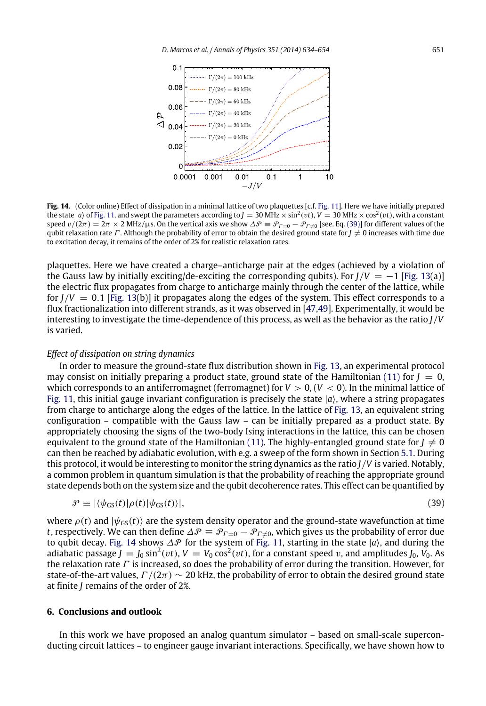<span id="page-17-2"></span>

**Fig. 14.** (Color online) Effect of dissipation in a minimal lattice of two plaquettes [c.f. [Fig. 11\]](#page-15-0). Here we have initially prepared the state  $|a\rangle$  of [Fig. 11,](#page-15-0) and swept the parameters according to  $J = 30$  MHz  $\times \sin^2(vt)$ ,  $V = 30$  MHz  $\times \cos^2(vt)$ , with a constant speed  $v/(2\pi) = 2\pi \times 2$  MHz/ $\mu$ s. On the vertical axis we show  $\Delta P \equiv P_{\Gamma=0} - P_{\Gamma=0}$  [see. Eq. [\(39\)\]](#page-17-1) for different values of the qubit relaxation rate Γ. Although the probability of error to obtain the desired ground state for  $J \neq 0$  increases with time due to excitation decay, it remains of the order of 2% for realistic relaxation rates.

plaquettes. Here we have created a charge–anticharge pair at the edges (achieved by a violation of the Gauss law by initially exciting/de-exciting the corresponding qubits). For  $J/V = -1$  [\[Fig. 13\(](#page-16-1)a)] the electric flux propagates from charge to anticharge mainly through the center of the lattice, while for  $J/V = 0.1$  [\[Fig. 13\(](#page-16-1)b)] it propagates along the edges of the system. This effect corresponds to a flux fractionalization into different strands, as it was observed in [\[47](#page-20-6)[,49\]](#page-20-8). Experimentally, it would be interesting to investigate the time-dependence of this process, as well as the behavior as the ratio *J*/*V* is varied.

## *Effect of dissipation on string dynamics*

In order to measure the ground-state flux distribution shown in [Fig. 13,](#page-16-1) an experimental protocol may consist on initially preparing a product state, ground state of the Hamiltonian [\(11\)](#page-6-2) for  $J = 0$ , which corresponds to an antiferromagnet (ferromagnet) for  $V > 0$ ,  $(V < 0)$ . In the minimal lattice of [Fig. 11,](#page-15-0) this initial gauge invariant configuration is precisely the state  $|a\rangle$ , where a string propagates from charge to anticharge along the edges of the lattice. In the lattice of [Fig. 13,](#page-16-1) an equivalent string configuration – compatible with the Gauss law – can be initially prepared as a product state. By appropriately choosing the signs of the two-body Ising interactions in the lattice, this can be chosen equivalent to the ground state of the Hamiltonian [\(11\).](#page-6-2) The highly-entangled ground state for  $J \neq 0$ can then be reached by adiabatic evolution, with e.g. a sweep of the form shown in Section [5.1.](#page-15-1) During this protocol, it would be interesting to monitor the string dynamics as the ratio *J*/*V* is varied. Notably, a common problem in quantum simulation is that the probability of reaching the appropriate ground state depends both on the system size and the qubit decoherence rates. This effect can be quantified by

<span id="page-17-1"></span>
$$
\mathcal{P} \equiv |\langle \psi_{\text{GS}}(t) | \rho(t) | \psi_{\text{GS}}(t) \rangle|, \tag{39}
$$

where  $\rho(t)$  and  $|\psi_{GS}(t)\rangle$  are the system density operator and the ground-state wavefunction at time *t*, respectively. We can then define  $\Delta P \equiv P_{\Gamma=0} - P_{\Gamma=0}$ , which gives us the probability of error due to qubit decay. [Fig. 14](#page-17-2) shows ∆P for the system of [Fig. 11,](#page-15-0) starting in the state |*a*⟩, and during the adiabatic passage  $J = J_0 \sin^2(vt)$ ,  $V = V_0 \cos^2(vt)$ , for a constant speed v, and amplitudes  $J_0$ ,  $V_0$ . As the relaxation rate  $\Gamma$  is increased, so does the probability of error during the transition. However, for state-of-the-art values,  $\Gamma/(2\pi) \sim 20$  kHz, the probability of error to obtain the desired ground state at finite *J* remains of the order of 2%.

## <span id="page-17-0"></span>**6. Conclusions and outlook**

In this work we have proposed an analog quantum simulator – based on small-scale superconducting circuit lattices – to engineer gauge invariant interactions. Specifically, we have shown how to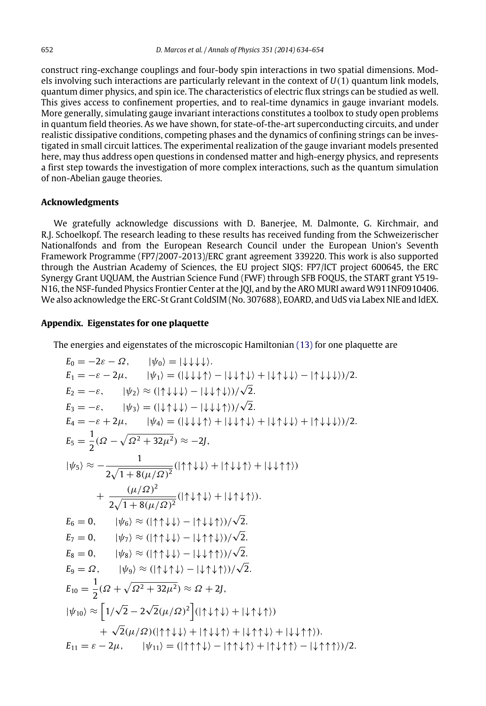construct ring-exchange couplings and four-body spin interactions in two spatial dimensions. Models involving such interactions are particularly relevant in the context of *U*(1) quantum link models, quantum dimer physics, and spin ice. The characteristics of electric flux strings can be studied as well. This gives access to confinement properties, and to real-time dynamics in gauge invariant models. More generally, simulating gauge invariant interactions constitutes a toolbox to study open problems in quantum field theories. As we have shown, for state-of-the-art superconducting circuits, and under realistic dissipative conditions, competing phases and the dynamics of confining strings can be investigated in small circuit lattices. The experimental realization of the gauge invariant models presented here, may thus address open questions in condensed matter and high-energy physics, and represents a first step towards the investigation of more complex interactions, such as the quantum simulation of non-Abelian gauge theories.

## **Acknowledgments**

We gratefully acknowledge discussions with D. Banerjee, M. Dalmonte, G. Kirchmair, and R.J. Schoelkopf. The research leading to these results has received funding from the Schweizerischer Nationalfonds and from the European Research Council under the European Union's Seventh Framework Programme (FP7/2007-2013)/ERC grant agreement 339220. This work is also supported through the Austrian Academy of Sciences, the EU project SIQS: FP7/ICT project 600645, the ERC Synergy Grant UQUAM, the Austrian Science Fund (FWF) through SFB FOQUS, the START grant Y519- N16, the NSF-funded Physics Frontier Center at the JQI, and by the ARO MURI award W911NF0910406. We also acknowledge the ERC-St Grant ColdSIM (No. 307688), EOARD, and UdS via Labex NIE and IdEX.

## **Appendix. Eigenstates for one plaquette**

<span id="page-18-0"></span>The energies and eigenstates of the microscopic Hamiltonian [\(13\)](#page-7-2) for one plaquette are

$$
E_0 = -2\varepsilon - \Omega, \quad |\psi_0\rangle = |\psi_+\psi_+\rangle.
$$
\n
$$
E_1 = -\varepsilon - 2\mu, \quad |\psi_1\rangle = (|\psi_+\psi_+\rangle - |\psi_+\psi_+\rangle + |\psi_+\psi_+\rangle - |\psi_+\psi_+\rangle)/2.
$$
\n
$$
E_2 = -\varepsilon, \quad |\psi_2\rangle \approx (|\uparrow\psi_+\psi_-\rangle - |\psi_+\psi_+\rangle)/\sqrt{2}.
$$
\n
$$
E_3 = -\varepsilon, \quad |\psi_3\rangle = (|\psi_+\psi_+\rangle - |\psi_+\psi_+\rangle)/\sqrt{2}.
$$
\n
$$
E_4 = -\varepsilon + 2\mu, \quad |\psi_4\rangle = (|\psi_+\psi_+\rangle + |\psi_+\psi_+\rangle + |\psi_+\psi_+\rangle + |\psi_+\psi_+\rangle)/2.
$$
\n
$$
E_5 = \frac{1}{2}(\Omega - \sqrt{\Omega^2 + 32\mu^2}) \approx -2J,
$$
\n
$$
|\psi_5\rangle \approx -\frac{1}{2\sqrt{1 + 8(\mu/\Omega)^2}}(|\uparrow\psi_+\psi_+\rangle + |\uparrow\psi_+\psi_+\rangle) + |\downarrow\psi_+\psi_+\rangle)
$$
\n
$$
E_6 = 0, \quad |\psi_6\rangle \approx (|\uparrow\uparrow\psi_+\rangle - |\uparrow\psi_+\psi_+\rangle)/\sqrt{2}.
$$
\n
$$
E_7 = 0, \quad |\psi_7\rangle \approx (|\uparrow\uparrow\psi_+\rangle - |\downarrow\psi_+\psi_+\rangle)/\sqrt{2}.
$$
\n
$$
E_8 = 0, \quad |\psi_8\rangle \approx (|\uparrow\uparrow\psi_+\rangle - |\downarrow\psi_+\psi_+\rangle)/\sqrt{2}.
$$
\n
$$
E_9 = \Omega, \quad |\psi_9\rangle \approx (|\uparrow\psi_+\rangle - |\downarrow\psi_+\psi_+\rangle)/\sqrt{2}.
$$
\n
$$
E_{10} = \frac{1}{2}(\Omega + \sqrt{\Omega^2 + 32\mu^2}) \approx \Omega + 2J,
$$
\n
$$
|\psi_{10}\rangle \approx \begin{bmatrix} 1/\sqrt{2} - 2\sqrt{2}(\mu/\Omega)^2 \\ |(\uparrow\psi_+\psi_+\rangle + |\uparrow\psi_+\psi_+\rangle + |\downarrow\psi_+\rangle +
$$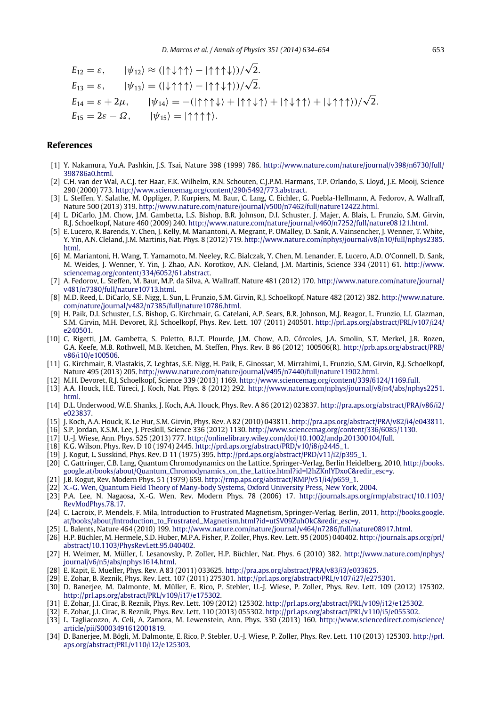$$
E_{12} = \varepsilon, \qquad |\psi_{12}\rangle \approx (|\uparrow\downarrow\uparrow\uparrow\rangle - |\uparrow\uparrow\uparrow\downarrow\rangle)/\sqrt{2}.
$$
  
\n
$$
E_{13} = \varepsilon, \qquad |\psi_{13}\rangle = (|\downarrow\uparrow\uparrow\uparrow\rangle - |\uparrow\uparrow\downarrow\uparrow\rangle)/\sqrt{2}.
$$
  
\n
$$
E_{14} = \varepsilon + 2\mu, \qquad |\psi_{14}\rangle = -(|\uparrow\uparrow\uparrow\downarrow\rangle + |\uparrow\uparrow\downarrow\uparrow\rangle + |\uparrow\downarrow\uparrow\uparrow\rangle + |\downarrow\uparrow\uparrow\uparrow\rangle)/\sqrt{2}.
$$
  
\n
$$
E_{15} = 2\varepsilon - \Omega, \qquad |\psi_{15}\rangle = |\uparrow\uparrow\uparrow\uparrow\rangle.
$$

#### **References**

- <span id="page-19-0"></span>[1] Y. Nakamura, Yu.A. Pashkin, J.S. Tsai, Nature 398 (1999) 786. [http://www.nature.com/nature/journal/v398/n6730/full/](http://www.nature.com/nature/journal/v398/n6730/full/398786a0.html) [398786a0.html.](http://www.nature.com/nature/journal/v398/n6730/full/398786a0.html)
- <span id="page-19-1"></span>[2] C.H. van der Wal, A.C.J. ter Haar, F.K. Wilhelm, R.N. Schouten, C.J.P.M. Harmans, T.P. Orlando, S. Lloyd, J.E. Mooij, Science 290 (2000) 773. [http://www.sciencemag.org/content/290/5492/773.abstract.](http://www.sciencemag.org/content/290/5492/773.abstract)
- <span id="page-19-2"></span>[3] L. Steffen, Y. Salathe, M. Oppliger, P. Kurpiers, M. Baur, C. Lang, C. Eichler, G. Puebla-Hellmann, A. Fedorov, A. Wallraff, Nature 500 (2013) 319. [http://www.nature.com/nature/journal/v500/n7462/full/nature12422.html.](http://www.nature.com/nature/journal/v500/n7462/full/nature12422.html)
- <span id="page-19-3"></span>[4] L. DiCarlo, J.M. Chow, J.M. Gambetta, L.S. Bishop, B.R. Johnson, D.I. Schuster, J. Majer, A. Blais, L. Frunzio, S.M. Girvin, R.J. Schoelkopf, Nature 460 (2009) 240. [http://www.nature.com/nature/journal/v460/n7252/full/nature08121.html.](http://www.nature.com/nature/journal/v460/n7252/full/nature08121.html)
- [5] E. Lucero, R. Barends, Y. Chen, J. Kelly, M. Mariantoni, A. Megrant, P. OMalley, D. Sank, A. Vainsencher, J. Wenner, T. White, Y. Yin, A.N. Cleland, J.M. Martinis, Nat. Phys. 8 (2012) 719. [http://www.nature.com/nphys/journal/v8/n10/full/nphys2385.](http://www.nature.com/nphys/journal/v8/n10/full/nphys2385.html) [html.](http://www.nature.com/nphys/journal/v8/n10/full/nphys2385.html)
- [6] M. Mariantoni, H. Wang, T. Yamamoto, M. Neeley, R.C. Bialczak, Y. Chen, M. Lenander, E. Lucero, A.D. O'Connell, D. Sank, M. Weides, J. Wenner, Y. Yin, J. Zhao, A.N. Korotkov, A.N. Cleland, J.M. Martinis, Science 334 (2011) 61. [http://www.](http://www.sciencemag.org/content/334/6052/61.abstract) [sciencemag.org/content/334/6052/61.abstract.](http://www.sciencemag.org/content/334/6052/61.abstract)
- [7] A. Fedorov, L. Steffen, M. Baur, M.P. da Silva, A. Wallraff, Nature 481 (2012) 170. [http://www.nature.com/nature/journal/](http://www.nature.com/nature/journal/v481/n7380/full/nature10713.html) [v481/n7380/full/nature10713.html.](http://www.nature.com/nature/journal/v481/n7380/full/nature10713.html)
- [8] M.D. Reed, L. DiCarlo, S.E. Nigg, L. Sun, L. Frunzio, S.M. Girvin, R.J. Schoelkopf, Nature 482 (2012) 382. [http://www.nature.](http://www.nature.com/nature/journal/v482/n7385/full/nature10786.html) [com/nature/journal/v482/n7385/full/nature10786.html.](http://www.nature.com/nature/journal/v482/n7385/full/nature10786.html)
- <span id="page-19-4"></span>[9] H. Paik, D.I. Schuster, L.S. Bishop, G. Kirchmair, G. Catelani, A.P. Sears, B.R. Johnson, M.J. Reagor, L. Frunzio, L.I. Glazman, S.M. Girvin, M.H. Devoret, R.J. Schoelkopf, Phys. Rev. Lett. 107 (2011) 240501. [http://prl.aps.org/abstract/PRL/v107/i24/](http://prl.aps.org/abstract/PRL/v107/i24/e240501) [e240501.](http://prl.aps.org/abstract/PRL/v107/i24/e240501)
- <span id="page-19-13"></span>[10] C. Rigetti, J.M. Gambetta, S. Poletto, B.L.T. Plourde, J.M. Chow, A.D. Córcoles, J.A. Smolin, S.T. Merkel, J.R. Rozen, G.A. Keefe, M.B. Rothwell, M.B. Ketchen, M. Steffen, Phys. Rev. B 86 (2012) 100506(R). [http://prb.aps.org/abstract/PRB/](http://prb.aps.org/abstract/PRB/v86/i10/e100506) [v86/i10/e100506.](http://prb.aps.org/abstract/PRB/v86/i10/e100506)
- [11] G. Kirchmair, B. Vlastakis, Z. Leghtas, S.E. Nigg, H. Paik, E. Ginossar, M. Mirrahimi, L. Frunzio, S.M. Girvin, R.J. Schoelkopf, Nature 495 (2013) 205. [http://www.nature.com/nature/journal/v495/n7440/full/nature11902.html.](http://www.nature.com/nature/journal/v495/n7440/full/nature11902.html)
- [12] M.H. Devoret, R.J. Schoelkopf, Science 339 (2013) 1169. [http://www.sciencemag.org/content/339/6124/1169.full.](http://www.sciencemag.org/content/339/6124/1169.full)
- <span id="page-19-5"></span>[13] A.A. Houck, H.E. Türeci, J. Koch, Nat. Phys. 8 (2012) 292. [http://www.nature.com/nphys/journal/v8/n4/abs/nphys2251.](http://www.nature.com/nphys/journal/v8/n4/abs/nphys2251.html) [html.](http://www.nature.com/nphys/journal/v8/n4/abs/nphys2251.html)
- [14] D.L. Underwood, W.E. Shanks, J. Koch, A.A. Houck, Phys. Rev. A 86 (2012) 023837. [http://pra.aps.org/abstract/PRA/v86/i2/](http://pra.aps.org/abstract/PRA/v86/i2/e023837) [e023837.](http://pra.aps.org/abstract/PRA/v86/i2/e023837)
- [15] J. Koch, A.A. Houck, K. Le Hur, S.M. Girvin, Phys. Rev. A 82 (2010) 043811. [http://pra.aps.org/abstract/PRA/v82/i4/e043811.](http://pra.aps.org/abstract/PRA/v82/i4/e043811)
- <span id="page-19-6"></span>[16] S.P. Jordan, K.S.M. Lee, J. Preskill, Science 336 (2012) 1130. [http://www.sciencemag.org/content/336/6085/1130.](http://www.sciencemag.org/content/336/6085/1130)
- <span id="page-19-7"></span>[17] U.-J. Wiese, Ann. Phys. 525 (2013) 777. [http://onlinelibrary.wiley.com/doi/10.1002/andp.201300104/full.](http://onlinelibrary.wiley.com/doi/10.1002/andp.201300104/full)
- <span id="page-19-8"></span>[18] K.G. Wilson, Phys. Rev. D 10 (1974) 2445. [http://prd.aps.org/abstract/PRD/v10/i8/p2445\\_1.](http://prd.aps.org/abstract/PRD/v10/i8/p2445_1)
- <span id="page-19-11"></span>[19] J. Kogut, L. Susskind, Phys. Rev. D 11 (1975) 395. [http://prd.aps.org/abstract/PRD/v11/i2/p395\\_1.](http://prd.aps.org/abstract/PRD/v11/i2/p395_1)
- [20] C. Gattringer, C.B. Lang, Quantum Chromodynamics on the Lattice, Springer-Verlag, Berlin Heidelberg, 2010, [http://books.](http://books.google.at/books/about/Quantum_Chromodynamics_on_the_Lattice.html?id=l2hZKnlYDxoC&redir_esc=y) [google.at/books/about/Quantum\\_Chromodynamics\\_on\\_the\\_Lattice.html?id=l2hZKnlYDxoC&redir\\_esc=y.](http://books.google.at/books/about/Quantum_Chromodynamics_on_the_Lattice.html?id=l2hZKnlYDxoC&redir_esc=y)
- <span id="page-19-9"></span>[21] J.B. Kogut, Rev. Modern Phys. 51 (1979) 659. [http://rmp.aps.org/abstract/RMP/v51/i4/p659\\_1.](http://rmp.aps.org/abstract/RMP/v51/i4/p659_1)
- [22] X.-[G. Wen, Quantum Field Theory of Many-body Systems, Oxford University Press, New York, 2004.](http://refhub.elsevier.com/S0003-4916(14)00271-1/sbref22)
- [23] P.A. Lee, N. Nagaosa, X.-G. Wen, Rev. Modern Phys. 78 (2006) 17. [http://journals.aps.org/rmp/abstract/10.1103/](http://journals.aps.org/rmp/abstract/10.1103/RevModPhys.78.17) [RevModPhys.78.17.](http://journals.aps.org/rmp/abstract/10.1103/RevModPhys.78.17)
- <span id="page-19-12"></span>[24] C. Lacroix, P. Mendels, F. Mila, Introduction to Frustrated Magnetism, Springer-Verlag, Berlin, 2011, [http://books.google.](http://books.google.at/books/about/Introduction_to_Frustrated_Magnetism.html?id=utSV09ZuhOkC&redir_esc=y) [at/books/about/Introduction\\_to\\_Frustrated\\_Magnetism.html?id=utSV09ZuhOkC&redir\\_esc=y.](http://books.google.at/books/about/Introduction_to_Frustrated_Magnetism.html?id=utSV09ZuhOkC&redir_esc=y)
- [25] L. Balents, Nature 464 (2010) 199. [http://www.nature.com/nature/journal/v464/n7286/full/nature08917.html.](http://www.nature.com/nature/journal/v464/n7286/full/nature08917.html)
- <span id="page-19-10"></span>[26] H.P. Büchler, M. Hermele, S.D. Huber, M.P.A. Fisher, P. Zoller, Phys. Rev. Lett. 95 (2005) 040402. [http://journals.aps.org/prl/](http://journals.aps.org/prl/abstract/10.1103/PhysRevLett.95.040402) [abstract/10.1103/PhysRevLett.95.040402.](http://journals.aps.org/prl/abstract/10.1103/PhysRevLett.95.040402)
- [27] H. Weimer, M. Müller, I. Lesanovsky, P. Zoller, H.P. Büchler, Nat. Phys. 6 (2010) 382. [http://www.nature.com/nphys/](http://www.nature.com/nphys/journal/v6/n5/abs/nphys1614.html) [journal/v6/n5/abs/nphys1614.html.](http://www.nature.com/nphys/journal/v6/n5/abs/nphys1614.html)
- [28] E. Kapit, E. Mueller, Phys. Rev. A 83 (2011) 033625. [http://pra.aps.org/abstract/PRA/v83/i3/e033625.](http://pra.aps.org/abstract/PRA/v83/i3/e033625)
- [29] E. Zohar, B. Reznik, Phys. Rev. Lett. 107 (2011) 275301. [http://prl.aps.org/abstract/PRL/v107/i27/e275301.](http://prl.aps.org/abstract/PRL/v107/i27/e275301)
- [30] D. Banerjee, M. Dalmonte, M. Müller, E. Rico, P. Stebler, U.-J. Wiese, P. Zoller, Phys. Rev. Lett. 109 (2012) 175302. [http://prl.aps.org/abstract/PRL/v109/i17/e175302.](http://prl.aps.org/abstract/PRL/v109/i17/e175302)
- [31] E. Zohar, J.I. Cirac, B. Reznik, Phys. Rev. Lett. 109 (2012) 125302. [http://prl.aps.org/abstract/PRL/v109/i12/e125302.](http://prl.aps.org/abstract/PRL/v109/i12/e125302)
- [32] E. Zohar, J.I. Cirac, B. Reznik, Phys. Rev. Lett. 110 (2013) 055302. [http://prl.aps.org/abstract/PRL/v110/i5/e055302.](http://prl.aps.org/abstract/PRL/v110/i5/e055302)
- [33] L. Tagliacozzo, A. Celi, A. Zamora, M. Lewenstein, Ann. Phys. 330 (2013) 160. [http://www.sciencedirect.com/science/](http://www.sciencedirect.com/science/article/pii/S0003491612001819) [article/pii/S0003491612001819.](http://www.sciencedirect.com/science/article/pii/S0003491612001819)
- [34] D. Banerjee, M. Bögli, M. Dalmonte, E. Rico, P. Stebler, U.-J. Wiese, P. Zoller, Phys. Rev. Lett. 110 (2013) 125303. [http://prl.](http://prl.aps.org/abstract/PRL/v110/i12/e125303) [aps.org/abstract/PRL/v110/i12/e125303.](http://prl.aps.org/abstract/PRL/v110/i12/e125303)